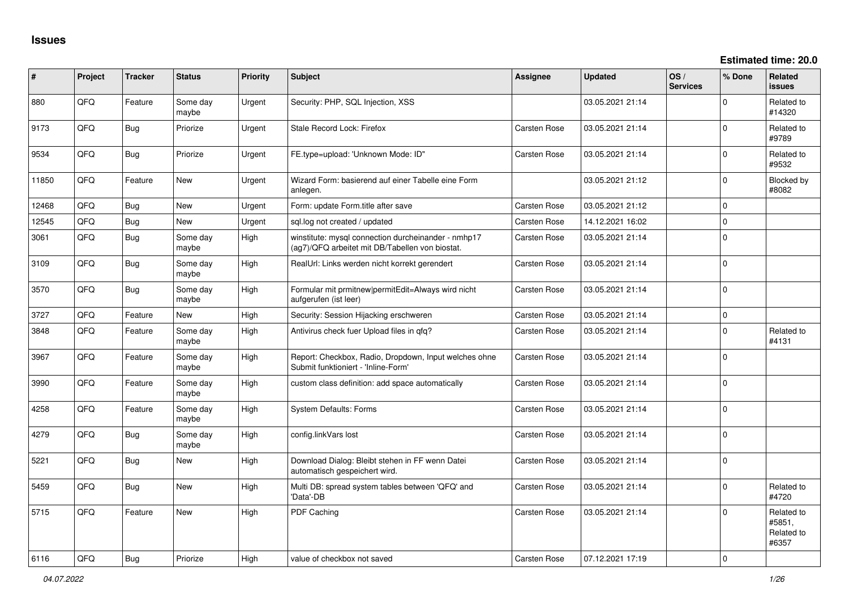| ∦     | Project | <b>Tracker</b> | <b>Status</b>     | <b>Priority</b> | Subject                                                                                                | <b>Assignee</b>     | <b>Updated</b>   | OS/<br><b>Services</b> | % Done      | <b>Related</b><br>issues                    |
|-------|---------|----------------|-------------------|-----------------|--------------------------------------------------------------------------------------------------------|---------------------|------------------|------------------------|-------------|---------------------------------------------|
| 880   | QFQ     | Feature        | Some day<br>maybe | Urgent          | Security: PHP, SQL Injection, XSS                                                                      |                     | 03.05.2021 21:14 |                        | $\Omega$    | Related to<br>#14320                        |
| 9173  | QFQ     | Bug            | Priorize          | Urgent          | Stale Record Lock: Firefox                                                                             | Carsten Rose        | 03.05.2021 21:14 |                        | $\Omega$    | Related to<br>#9789                         |
| 9534  | QFQ     | <b>Bug</b>     | Priorize          | Urgent          | FE.type=upload: 'Unknown Mode: ID"                                                                     | <b>Carsten Rose</b> | 03.05.2021 21:14 |                        | $\Omega$    | Related to<br>#9532                         |
| 11850 | QFQ     | Feature        | <b>New</b>        | Urgent          | Wizard Form: basierend auf einer Tabelle eine Form<br>anlegen.                                         |                     | 03.05.2021 21:12 |                        | $\mathbf 0$ | Blocked by<br>#8082                         |
| 12468 | QFQ     | Bug            | <b>New</b>        | Urgent          | Form: update Form.title after save                                                                     | Carsten Rose        | 03.05.2021 21:12 |                        | $\mathbf 0$ |                                             |
| 12545 | QFQ     | <b>Bug</b>     | New               | Urgent          | sql.log not created / updated                                                                          | Carsten Rose        | 14.12.2021 16:02 |                        | $\mathbf 0$ |                                             |
| 3061  | QFQ     | <b>Bug</b>     | Some day<br>maybe | High            | winstitute: mysql connection durcheinander - nmhp17<br>(ag7)/QFQ arbeitet mit DB/Tabellen von biostat. | <b>Carsten Rose</b> | 03.05.2021 21:14 |                        | $\Omega$    |                                             |
| 3109  | QFQ     | Bug            | Some day<br>maybe | High            | RealUrl: Links werden nicht korrekt gerendert                                                          | <b>Carsten Rose</b> | 03.05.2021 21:14 |                        | $\Omega$    |                                             |
| 3570  | QFQ     | Bug            | Some day<br>maybe | High            | Formular mit prmitnew permitEdit=Always wird nicht<br>aufgerufen (ist leer)                            | Carsten Rose        | 03.05.2021 21:14 |                        | $\Omega$    |                                             |
| 3727  | QFQ     | Feature        | <b>New</b>        | High            | Security: Session Hijacking erschweren                                                                 | Carsten Rose        | 03.05.2021 21:14 |                        | $\mathbf 0$ |                                             |
| 3848  | QFQ     | Feature        | Some day<br>maybe | High            | Antivirus check fuer Upload files in qfq?                                                              | Carsten Rose        | 03.05.2021 21:14 |                        | 0           | Related to<br>#4131                         |
| 3967  | QFQ     | Feature        | Some day<br>maybe | High            | Report: Checkbox, Radio, Dropdown, Input welches ohne<br>Submit funktioniert - 'Inline-Form'           | Carsten Rose        | 03.05.2021 21:14 |                        | $\mathbf 0$ |                                             |
| 3990  | QFQ     | Feature        | Some day<br>maybe | High            | custom class definition: add space automatically                                                       | <b>Carsten Rose</b> | 03.05.2021 21:14 |                        | $\Omega$    |                                             |
| 4258  | QFQ     | Feature        | Some day<br>maybe | High            | <b>System Defaults: Forms</b>                                                                          | Carsten Rose        | 03.05.2021 21:14 |                        | $\Omega$    |                                             |
| 4279  | QFQ     | <b>Bug</b>     | Some day<br>maybe | High            | config.linkVars lost                                                                                   | Carsten Rose        | 03.05.2021 21:14 |                        | $\Omega$    |                                             |
| 5221  | QFQ     | <b>Bug</b>     | New               | High            | Download Dialog: Bleibt stehen in FF wenn Datei<br>automatisch gespeichert wird.                       | Carsten Rose        | 03.05.2021 21:14 |                        | $\Omega$    |                                             |
| 5459  | QFQ     | <b>Bug</b>     | New               | High            | Multi DB: spread system tables between 'QFQ' and<br>'Data'-DB                                          | Carsten Rose        | 03.05.2021 21:14 |                        | $\Omega$    | Related to<br>#4720                         |
| 5715  | QFQ     | Feature        | <b>New</b>        | High            | PDF Caching                                                                                            | <b>Carsten Rose</b> | 03.05.2021 21:14 |                        | $\Omega$    | Related to<br>#5851,<br>Related to<br>#6357 |
| 6116  | QFQ     | Bug            | Priorize          | High            | value of checkbox not saved                                                                            | <b>Carsten Rose</b> | 07.12.2021 17:19 |                        | l 0         |                                             |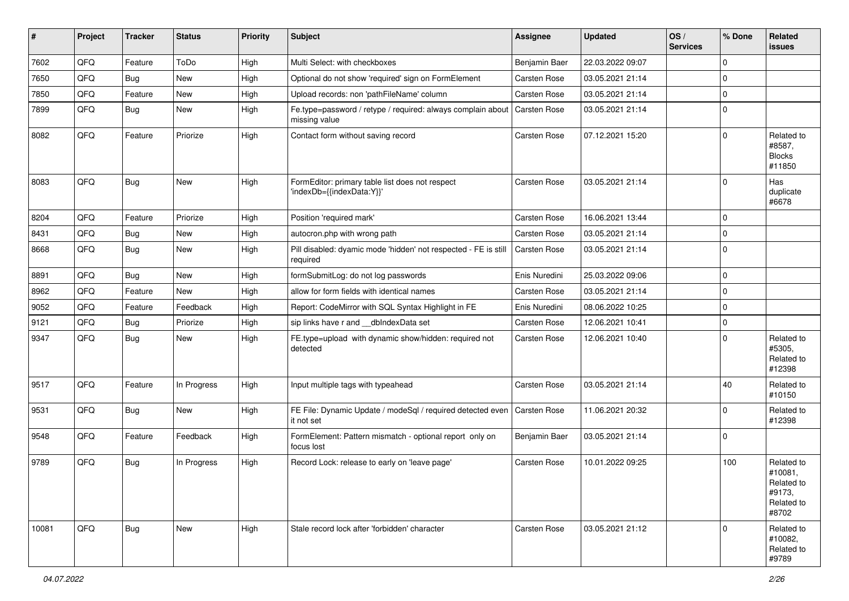| #     | Project | <b>Tracker</b> | <b>Status</b> | <b>Priority</b> | <b>Subject</b>                                                               | Assignee            | <b>Updated</b>   | OS/<br><b>Services</b> | % Done      | Related<br><b>issues</b>                                             |
|-------|---------|----------------|---------------|-----------------|------------------------------------------------------------------------------|---------------------|------------------|------------------------|-------------|----------------------------------------------------------------------|
| 7602  | QFQ     | Feature        | ToDo          | High            | Multi Select: with checkboxes                                                | Benjamin Baer       | 22.03.2022 09:07 |                        | $\Omega$    |                                                                      |
| 7650  | QFQ     | <b>Bug</b>     | New           | High            | Optional do not show 'required' sign on FormElement                          | Carsten Rose        | 03.05.2021 21:14 |                        | $\Omega$    |                                                                      |
| 7850  | QFQ     | Feature        | New           | High            | Upload records: non 'pathFileName' column                                    | Carsten Rose        | 03.05.2021 21:14 |                        | $\Omega$    |                                                                      |
| 7899  | QFQ     | Bug            | New           | High            | Fe.type=password / retype / required: always complain about<br>missing value | Carsten Rose        | 03.05.2021 21:14 |                        | $\Omega$    |                                                                      |
| 8082  | QFQ     | Feature        | Priorize      | High            | Contact form without saving record                                           | Carsten Rose        | 07.12.2021 15:20 |                        | $\Omega$    | Related to<br>#8587,<br><b>Blocks</b><br>#11850                      |
| 8083  | QFQ     | Bug            | New           | High            | FormEditor: primary table list does not respect<br>'indexDb={{indexData:Y}}' | Carsten Rose        | 03.05.2021 21:14 |                        | $\Omega$    | Has<br>duplicate<br>#6678                                            |
| 8204  | QFQ     | Feature        | Priorize      | High            | Position 'required mark'                                                     | Carsten Rose        | 16.06.2021 13:44 |                        | $\mathbf 0$ |                                                                      |
| 8431  | QFQ     | <b>Bug</b>     | New           | High            | autocron.php with wrong path                                                 | Carsten Rose        | 03.05.2021 21:14 |                        | $\Omega$    |                                                                      |
| 8668  | QFQ     | Bug            | New           | High            | Pill disabled: dyamic mode 'hidden' not respected - FE is still<br>required  | Carsten Rose        | 03.05.2021 21:14 |                        | $\Omega$    |                                                                      |
| 8891  | QFQ     | <b>Bug</b>     | New           | High            | formSubmitLog: do not log passwords                                          | Enis Nuredini       | 25.03.2022 09:06 |                        | $\Omega$    |                                                                      |
| 8962  | QFQ     | Feature        | New           | High            | allow for form fields with identical names                                   | Carsten Rose        | 03.05.2021 21:14 |                        | $\Omega$    |                                                                      |
| 9052  | QFQ     | Feature        | Feedback      | High            | Report: CodeMirror with SQL Syntax Highlight in FE                           | Enis Nuredini       | 08.06.2022 10:25 |                        | $\Omega$    |                                                                      |
| 9121  | QFQ     | <b>Bug</b>     | Priorize      | High            | sip links have r and __dbIndexData set                                       | Carsten Rose        | 12.06.2021 10:41 |                        | $\Omega$    |                                                                      |
| 9347  | QFQ     | Bug            | New           | High            | FE.type=upload with dynamic show/hidden: required not<br>detected            | Carsten Rose        | 12.06.2021 10:40 |                        | $\Omega$    | Related to<br>#5305,<br>Related to<br>#12398                         |
| 9517  | QFQ     | Feature        | In Progress   | High            | Input multiple tags with typeahead                                           | Carsten Rose        | 03.05.2021 21:14 |                        | 40          | Related to<br>#10150                                                 |
| 9531  | QFQ     | Bug            | New           | High            | FE File: Dynamic Update / modeSql / required detected even<br>it not set     | <b>Carsten Rose</b> | 11.06.2021 20:32 |                        | $\Omega$    | Related to<br>#12398                                                 |
| 9548  | QFQ     | Feature        | Feedback      | High            | FormElement: Pattern mismatch - optional report only on<br>focus lost        | Benjamin Baer       | 03.05.2021 21:14 |                        | $\Omega$    |                                                                      |
| 9789  | QFQ     | Bug            | In Progress   | High            | Record Lock: release to early on 'leave page'                                | Carsten Rose        | 10.01.2022 09:25 |                        | 100         | Related to<br>#10081,<br>Related to<br>#9173,<br>Related to<br>#8702 |
| 10081 | QFQ     | <b>Bug</b>     | New           | High            | Stale record lock after 'forbidden' character                                | Carsten Rose        | 03.05.2021 21:12 |                        | $\Omega$    | Related to<br>#10082.<br>Related to<br>#9789                         |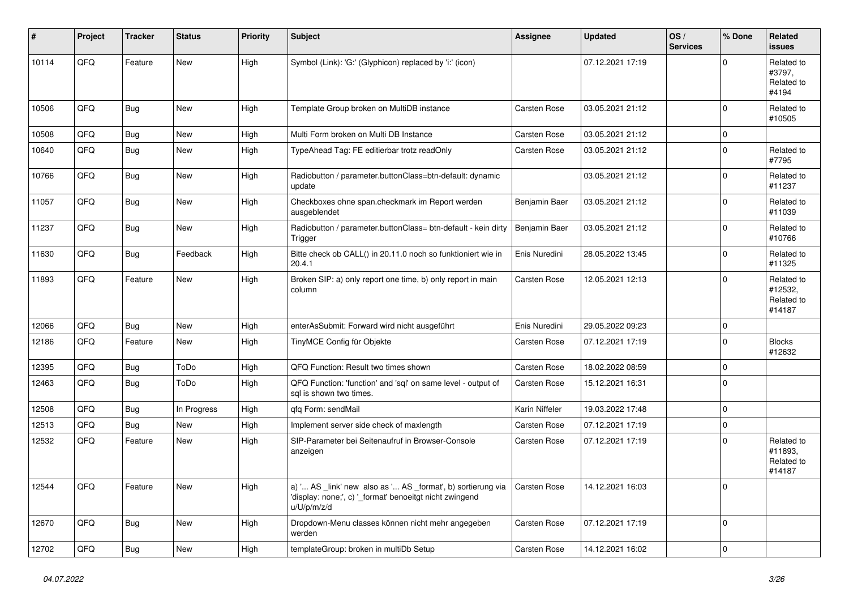| #     | Project | <b>Tracker</b> | <b>Status</b> | <b>Priority</b> | <b>Subject</b>                                                                                                                        | Assignee            | <b>Updated</b>   | OS/<br><b>Services</b> | % Done      | Related<br><b>issues</b>                      |
|-------|---------|----------------|---------------|-----------------|---------------------------------------------------------------------------------------------------------------------------------------|---------------------|------------------|------------------------|-------------|-----------------------------------------------|
| 10114 | QFQ     | Feature        | New           | High            | Symbol (Link): 'G:' (Glyphicon) replaced by 'i:' (icon)                                                                               |                     | 07.12.2021 17:19 |                        | $\Omega$    | Related to<br>#3797,<br>Related to<br>#4194   |
| 10506 | QFQ     | Bug            | <b>New</b>    | High            | Template Group broken on MultiDB instance                                                                                             | Carsten Rose        | 03.05.2021 21:12 |                        | $\Omega$    | Related to<br>#10505                          |
| 10508 | QFQ     | Bug            | New           | High            | Multi Form broken on Multi DB Instance                                                                                                | Carsten Rose        | 03.05.2021 21:12 |                        | $\Omega$    |                                               |
| 10640 | QFQ     | Bug            | <b>New</b>    | High            | TypeAhead Tag: FE editierbar trotz readOnly                                                                                           | Carsten Rose        | 03.05.2021 21:12 |                        | $\Omega$    | Related to<br>#7795                           |
| 10766 | QFQ     | Bug            | New           | High            | Radiobutton / parameter.buttonClass=btn-default: dynamic<br>update                                                                    |                     | 03.05.2021 21:12 |                        | $\Omega$    | Related to<br>#11237                          |
| 11057 | QFQ     | Bug            | New           | High            | Checkboxes ohne span.checkmark im Report werden<br>ausgeblendet                                                                       | Benjamin Baer       | 03.05.2021 21:12 |                        | $\Omega$    | Related to<br>#11039                          |
| 11237 | QFQ     | Bug            | <b>New</b>    | High            | Radiobutton / parameter.buttonClass= btn-default - kein dirty<br>Trigger                                                              | Benjamin Baer       | 03.05.2021 21:12 |                        | $\Omega$    | Related to<br>#10766                          |
| 11630 | QFQ     | Bug            | Feedback      | High            | Bitte check ob CALL() in 20.11.0 noch so funktioniert wie in<br>20.4.1                                                                | Enis Nuredini       | 28.05.2022 13:45 |                        | $\Omega$    | Related to<br>#11325                          |
| 11893 | QFQ     | Feature        | New           | High            | Broken SIP: a) only report one time, b) only report in main<br>column                                                                 | <b>Carsten Rose</b> | 12.05.2021 12:13 |                        | $\Omega$    | Related to<br>#12532.<br>Related to<br>#14187 |
| 12066 | QFQ     | Bug            | New           | High            | enterAsSubmit: Forward wird nicht ausgeführt                                                                                          | Enis Nuredini       | 29.05.2022 09:23 |                        | $\Omega$    |                                               |
| 12186 | QFQ     | Feature        | New           | High            | TinyMCE Config für Objekte                                                                                                            | <b>Carsten Rose</b> | 07.12.2021 17:19 |                        | $\Omega$    | <b>Blocks</b><br>#12632                       |
| 12395 | QFQ     | Bug            | ToDo          | High            | QFQ Function: Result two times shown                                                                                                  | Carsten Rose        | 18.02.2022 08:59 |                        | $\Omega$    |                                               |
| 12463 | QFQ     | Bug            | ToDo          | High            | QFQ Function: 'function' and 'sql' on same level - output of<br>sal is shown two times.                                               | Carsten Rose        | 15.12.2021 16:31 |                        | $\Omega$    |                                               |
| 12508 | QFQ     | Bug            | In Progress   | High            | qfq Form: sendMail                                                                                                                    | Karin Niffeler      | 19.03.2022 17:48 |                        | $\mathbf 0$ |                                               |
| 12513 | QFQ     | <b>Bug</b>     | <b>New</b>    | High            | Implement server side check of maxlength                                                                                              | Carsten Rose        | 07.12.2021 17:19 |                        | $\Omega$    |                                               |
| 12532 | QFQ     | Feature        | New           | High            | SIP-Parameter bei Seitenaufruf in Browser-Console<br>anzeigen                                                                         | <b>Carsten Rose</b> | 07.12.2021 17:19 |                        | $\Omega$    | Related to<br>#11893,<br>Related to<br>#14187 |
| 12544 | QFQ     | Feature        | <b>New</b>    | High            | a) ' AS _link' new also as ' AS _format', b) sortierung via<br>'display: none;', c) ' format' benoeitgt nicht zwingend<br>u/U/p/m/z/d | Carsten Rose        | 14.12.2021 16:03 |                        | $\Omega$    |                                               |
| 12670 | QFQ     | <b>Bug</b>     | New           | High            | Dropdown-Menu classes können nicht mehr angegeben<br>werden                                                                           | Carsten Rose        | 07.12.2021 17:19 |                        | $\Omega$    |                                               |
| 12702 | QFQ     | Bug            | <b>New</b>    | High            | templateGroup: broken in multiDb Setup                                                                                                | Carsten Rose        | 14.12.2021 16:02 |                        | $\Omega$    |                                               |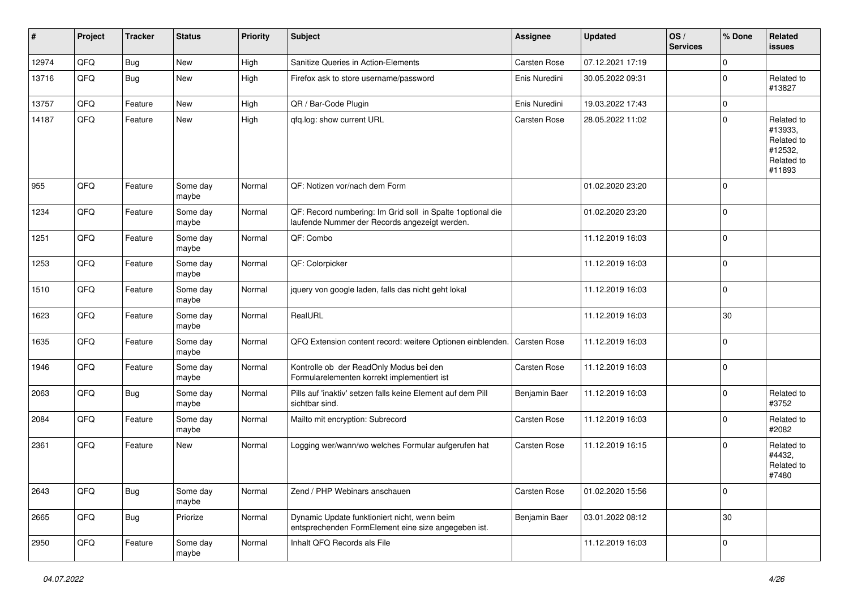| #     | Project | <b>Tracker</b> | <b>Status</b>     | <b>Priority</b> | <b>Subject</b>                                                                                               | <b>Assignee</b>     | <b>Updated</b>   | OS/<br><b>Services</b> | % Done      | Related<br><b>issues</b>                                               |
|-------|---------|----------------|-------------------|-----------------|--------------------------------------------------------------------------------------------------------------|---------------------|------------------|------------------------|-------------|------------------------------------------------------------------------|
| 12974 | QFQ     | <b>Bug</b>     | New               | High            | Sanitize Queries in Action-Elements                                                                          | Carsten Rose        | 07.12.2021 17:19 |                        | $\mathbf 0$ |                                                                        |
| 13716 | QFQ     | <b>Bug</b>     | New               | High            | Firefox ask to store username/password                                                                       | Enis Nuredini       | 30.05.2022 09:31 |                        | $\mathbf 0$ | Related to<br>#13827                                                   |
| 13757 | QFQ     | Feature        | <b>New</b>        | High            | QR / Bar-Code Plugin                                                                                         | Enis Nuredini       | 19.03.2022 17:43 |                        | $\mathbf 0$ |                                                                        |
| 14187 | QFQ     | Feature        | New               | High            | gfg.log: show current URL                                                                                    | Carsten Rose        | 28.05.2022 11:02 |                        | $\mathbf 0$ | Related to<br>#13933,<br>Related to<br>#12532,<br>Related to<br>#11893 |
| 955   | QFQ     | Feature        | Some day<br>maybe | Normal          | QF: Notizen vor/nach dem Form                                                                                |                     | 01.02.2020 23:20 |                        | $\mathbf 0$ |                                                                        |
| 1234  | QFQ     | Feature        | Some day<br>maybe | Normal          | QF: Record numbering: Im Grid soll in Spalte 1 optional die<br>laufende Nummer der Records angezeigt werden. |                     | 01.02.2020 23:20 |                        | $\mathbf 0$ |                                                                        |
| 1251  | QFQ     | Feature        | Some day<br>maybe | Normal          | QF: Combo                                                                                                    |                     | 11.12.2019 16:03 |                        | $\mathbf 0$ |                                                                        |
| 1253  | QFQ     | Feature        | Some day<br>maybe | Normal          | QF: Colorpicker                                                                                              |                     | 11.12.2019 16:03 |                        | $\mathbf 0$ |                                                                        |
| 1510  | QFQ     | Feature        | Some day<br>maybe | Normal          | jquery von google laden, falls das nicht geht lokal                                                          |                     | 11.12.2019 16:03 |                        | $\mathbf 0$ |                                                                        |
| 1623  | QFQ     | Feature        | Some day<br>maybe | Normal          | RealURL                                                                                                      |                     | 11.12.2019 16:03 |                        | 30          |                                                                        |
| 1635  | QFQ     | Feature        | Some day<br>maybe | Normal          | QFQ Extension content record: weitere Optionen einblenden.                                                   | Carsten Rose        | 11.12.2019 16:03 |                        | $\mathsf 0$ |                                                                        |
| 1946  | QFQ     | Feature        | Some day<br>maybe | Normal          | Kontrolle ob der ReadOnly Modus bei den<br>Formularelementen korrekt implementiert ist                       | Carsten Rose        | 11.12.2019 16:03 |                        | $\mathbf 0$ |                                                                        |
| 2063  | QFQ     | <b>Bug</b>     | Some day<br>maybe | Normal          | Pills auf 'inaktiv' setzen falls keine Element auf dem Pill<br>sichtbar sind.                                | Benjamin Baer       | 11.12.2019 16:03 |                        | $\mathbf 0$ | Related to<br>#3752                                                    |
| 2084  | QFQ     | Feature        | Some day<br>maybe | Normal          | Mailto mit encryption: Subrecord                                                                             | Carsten Rose        | 11.12.2019 16:03 |                        | $\mathbf 0$ | Related to<br>#2082                                                    |
| 2361  | QFQ     | Feature        | New               | Normal          | Logging wer/wann/wo welches Formular aufgerufen hat                                                          | <b>Carsten Rose</b> | 11.12.2019 16:15 |                        | $\mathbf 0$ | Related to<br>#4432,<br>Related to<br>#7480                            |
| 2643  | QFO     | <b>Bug</b>     | Some day<br>maybe | Normal          | Zend / PHP Webinars anschauen                                                                                | Carsten Rose        | 01.02.2020 15:56 |                        | $\pmb{0}$   |                                                                        |
| 2665  | QFO     | <b>Bug</b>     | Priorize          | Normal          | Dynamic Update funktioniert nicht, wenn beim<br>entsprechenden FormElement eine size angegeben ist.          | Benjamin Baer       | 03.01.2022 08:12 |                        | $30\,$      |                                                                        |
| 2950  | QFO     | Feature        | Some day<br>maybe | Normal          | Inhalt QFQ Records als File                                                                                  |                     | 11.12.2019 16:03 |                        | $\mathbf 0$ |                                                                        |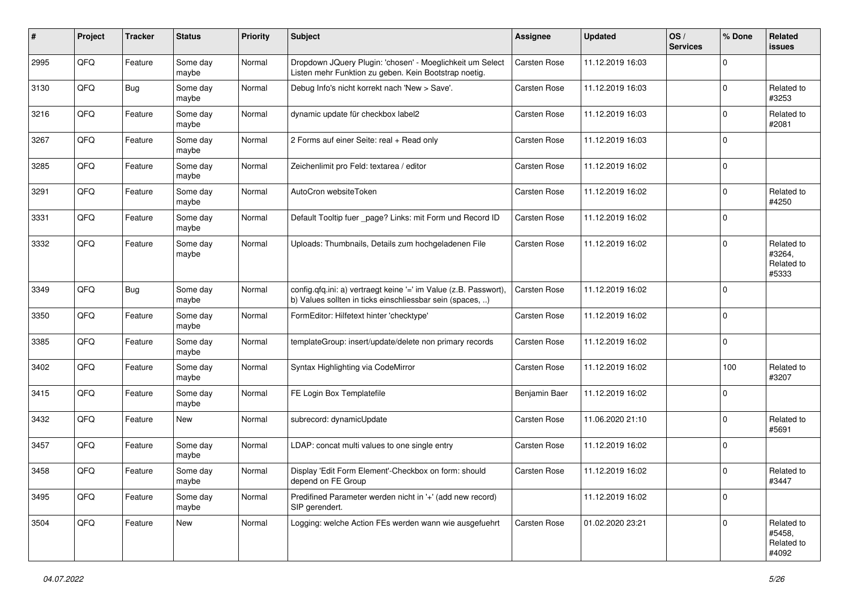| #    | Project | <b>Tracker</b> | <b>Status</b>     | <b>Priority</b> | <b>Subject</b>                                                                                                                | <b>Assignee</b> | <b>Updated</b>   | OS/<br><b>Services</b> | % Done      | Related<br><b>issues</b>                    |
|------|---------|----------------|-------------------|-----------------|-------------------------------------------------------------------------------------------------------------------------------|-----------------|------------------|------------------------|-------------|---------------------------------------------|
| 2995 | QFQ     | Feature        | Some day<br>maybe | Normal          | Dropdown JQuery Plugin: 'chosen' - Moeglichkeit um Select<br>Listen mehr Funktion zu geben. Kein Bootstrap noetig.            | Carsten Rose    | 11.12.2019 16:03 |                        | $\Omega$    |                                             |
| 3130 | QFQ     | <b>Bug</b>     | Some day<br>maybe | Normal          | Debug Info's nicht korrekt nach 'New > Save'.                                                                                 | Carsten Rose    | 11.12.2019 16:03 |                        | $\mathbf 0$ | Related to<br>#3253                         |
| 3216 | QFQ     | Feature        | Some day<br>maybe | Normal          | dynamic update für checkbox label2                                                                                            | Carsten Rose    | 11.12.2019 16:03 |                        | $\mathbf 0$ | Related to<br>#2081                         |
| 3267 | QFQ     | Feature        | Some day<br>maybe | Normal          | 2 Forms auf einer Seite: real + Read only                                                                                     | Carsten Rose    | 11.12.2019 16:03 |                        | $\mathbf 0$ |                                             |
| 3285 | QFQ     | Feature        | Some day<br>maybe | Normal          | Zeichenlimit pro Feld: textarea / editor                                                                                      | Carsten Rose    | 11.12.2019 16:02 |                        | $\mathbf 0$ |                                             |
| 3291 | QFQ     | Feature        | Some day<br>maybe | Normal          | AutoCron websiteToken                                                                                                         | Carsten Rose    | 11.12.2019 16:02 |                        | $\mathbf 0$ | Related to<br>#4250                         |
| 3331 | QFQ     | Feature        | Some day<br>maybe | Normal          | Default Tooltip fuer _page? Links: mit Form und Record ID                                                                     | Carsten Rose    | 11.12.2019 16:02 |                        | $\mathbf 0$ |                                             |
| 3332 | QFQ     | Feature        | Some day<br>maybe | Normal          | Uploads: Thumbnails, Details zum hochgeladenen File                                                                           | Carsten Rose    | 11.12.2019 16:02 |                        | $\mathbf 0$ | Related to<br>#3264,<br>Related to<br>#5333 |
| 3349 | QFQ     | <b>Bug</b>     | Some day<br>maybe | Normal          | config.qfq.ini: a) vertraegt keine '=' im Value (z.B. Passwort),<br>b) Values sollten in ticks einschliessbar sein (spaces, ) | Carsten Rose    | 11.12.2019 16:02 |                        | $\Omega$    |                                             |
| 3350 | QFQ     | Feature        | Some day<br>maybe | Normal          | FormEditor: Hilfetext hinter 'checktype'                                                                                      | Carsten Rose    | 11.12.2019 16:02 |                        | $\mathbf 0$ |                                             |
| 3385 | QFQ     | Feature        | Some day<br>maybe | Normal          | templateGroup: insert/update/delete non primary records                                                                       | Carsten Rose    | 11.12.2019 16:02 |                        | $\mathbf 0$ |                                             |
| 3402 | QFQ     | Feature        | Some day<br>maybe | Normal          | Syntax Highlighting via CodeMirror                                                                                            | Carsten Rose    | 11.12.2019 16:02 |                        | 100         | Related to<br>#3207                         |
| 3415 | QFQ     | Feature        | Some day<br>maybe | Normal          | FE Login Box Templatefile                                                                                                     | Benjamin Baer   | 11.12.2019 16:02 |                        | $\mathbf 0$ |                                             |
| 3432 | QFQ     | Feature        | New               | Normal          | subrecord: dynamicUpdate                                                                                                      | Carsten Rose    | 11.06.2020 21:10 |                        | $\mathbf 0$ | Related to<br>#5691                         |
| 3457 | QFQ     | Feature        | Some day<br>maybe | Normal          | LDAP: concat multi values to one single entry                                                                                 | Carsten Rose    | 11.12.2019 16:02 |                        | $\mathbf 0$ |                                             |
| 3458 | QFQ     | Feature        | Some day<br>maybe | Normal          | Display 'Edit Form Element'-Checkbox on form: should<br>depend on FE Group                                                    | Carsten Rose    | 11.12.2019 16:02 |                        | $\mathbf 0$ | Related to<br>#3447                         |
| 3495 | QFQ     | Feature        | Some day<br>maybe | Normal          | Predifined Parameter werden nicht in '+' (add new record)<br>SIP gerendert.                                                   |                 | 11.12.2019 16:02 |                        | $\mathbf 0$ |                                             |
| 3504 | QFQ     | Feature        | New               | Normal          | Logging: welche Action FEs werden wann wie ausgefuehrt                                                                        | Carsten Rose    | 01.02.2020 23:21 |                        | $\mathbf 0$ | Related to<br>#5458,<br>Related to<br>#4092 |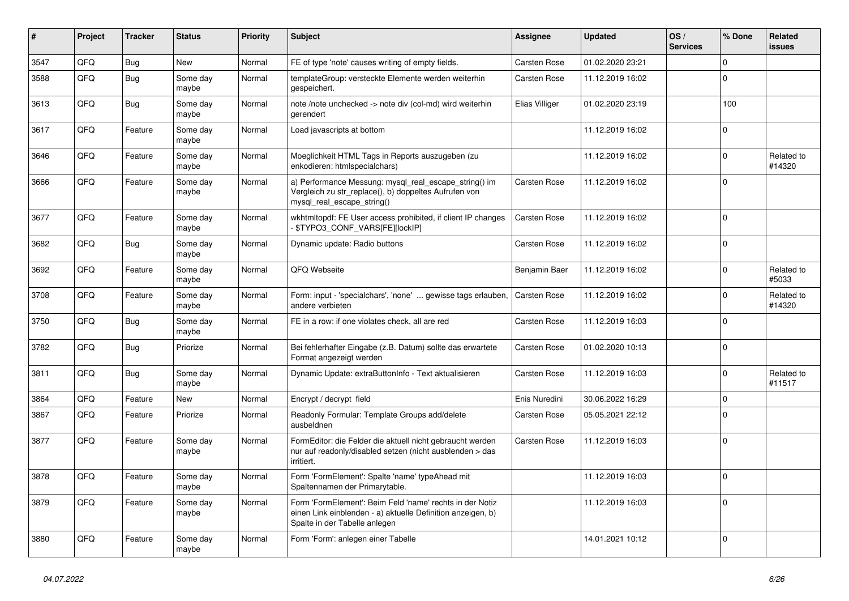| $\vert$ # | Project | <b>Tracker</b> | <b>Status</b>     | <b>Priority</b> | <b>Subject</b>                                                                                                                                           | <b>Assignee</b>     | <b>Updated</b>   | OS/<br><b>Services</b> | % Done         | Related<br><b>issues</b> |
|-----------|---------|----------------|-------------------|-----------------|----------------------------------------------------------------------------------------------------------------------------------------------------------|---------------------|------------------|------------------------|----------------|--------------------------|
| 3547      | QFQ     | <b>Bug</b>     | New               | Normal          | FE of type 'note' causes writing of empty fields.                                                                                                        | <b>Carsten Rose</b> | 01.02.2020 23:21 |                        | $\Omega$       |                          |
| 3588      | QFQ     | <b>Bug</b>     | Some day<br>maybe | Normal          | templateGroup: versteckte Elemente werden weiterhin<br>gespeichert.                                                                                      | <b>Carsten Rose</b> | 11.12.2019 16:02 |                        | $\Omega$       |                          |
| 3613      | QFQ     | <b>Bug</b>     | Some day<br>maybe | Normal          | note /note unchecked -> note div (col-md) wird weiterhin<br>gerendert                                                                                    | Elias Villiger      | 01.02.2020 23:19 |                        | 100            |                          |
| 3617      | QFQ     | Feature        | Some day<br>maybe | Normal          | Load javascripts at bottom                                                                                                                               |                     | 11.12.2019 16:02 |                        | $\Omega$       |                          |
| 3646      | QFQ     | Feature        | Some day<br>maybe | Normal          | Moeglichkeit HTML Tags in Reports auszugeben (zu<br>enkodieren: htmlspecialchars)                                                                        |                     | 11.12.2019 16:02 |                        | $\Omega$       | Related to<br>#14320     |
| 3666      | QFQ     | Feature        | Some day<br>maybe | Normal          | a) Performance Messung: mysql_real_escape_string() im<br>Vergleich zu str_replace(), b) doppeltes Aufrufen von<br>mysql_real_escape_string()             | <b>Carsten Rose</b> | 11.12.2019 16:02 |                        | $\mathbf 0$    |                          |
| 3677      | QFQ     | Feature        | Some day<br>maybe | Normal          | wkhtmltopdf: FE User access prohibited, if client IP changes<br>\$TYPO3_CONF_VARS[FE][lockIP]                                                            | <b>Carsten Rose</b> | 11.12.2019 16:02 |                        | $\Omega$       |                          |
| 3682      | QFQ     | Bug            | Some day<br>maybe | Normal          | Dynamic update: Radio buttons                                                                                                                            | <b>Carsten Rose</b> | 11.12.2019 16:02 |                        | $\overline{0}$ |                          |
| 3692      | QFQ     | Feature        | Some day<br>maybe | Normal          | QFQ Webseite                                                                                                                                             | Benjamin Baer       | 11.12.2019 16:02 |                        | $\Omega$       | Related to<br>#5033      |
| 3708      | QFQ     | Feature        | Some day<br>maybe | Normal          | Form: input - 'specialchars', 'none'  gewisse tags erlauben,<br>andere verbieten                                                                         | <b>Carsten Rose</b> | 11.12.2019 16:02 |                        | $\Omega$       | Related to<br>#14320     |
| 3750      | QFQ     | <b>Bug</b>     | Some day<br>maybe | Normal          | FE in a row: if one violates check, all are red                                                                                                          | <b>Carsten Rose</b> | 11.12.2019 16:03 |                        | $\mathbf 0$    |                          |
| 3782      | QFQ     | <b>Bug</b>     | Priorize          | Normal          | Bei fehlerhafter Eingabe (z.B. Datum) sollte das erwartete<br>Format angezeigt werden                                                                    | <b>Carsten Rose</b> | 01.02.2020 10:13 |                        | $\Omega$       |                          |
| 3811      | QFQ     | Bug            | Some day<br>maybe | Normal          | Dynamic Update: extraButtonInfo - Text aktualisieren                                                                                                     | <b>Carsten Rose</b> | 11.12.2019 16:03 |                        | $\Omega$       | Related to<br>#11517     |
| 3864      | QFQ     | Feature        | <b>New</b>        | Normal          | Encrypt / decrypt field                                                                                                                                  | Enis Nuredini       | 30.06.2022 16:29 |                        | $\pmb{0}$      |                          |
| 3867      | QFQ     | Feature        | Priorize          | Normal          | Readonly Formular: Template Groups add/delete<br>ausbeldnen                                                                                              | <b>Carsten Rose</b> | 05.05.2021 22:12 |                        | $\Omega$       |                          |
| 3877      | QFQ     | Feature        | Some day<br>maybe | Normal          | FormEditor: die Felder die aktuell nicht gebraucht werden<br>nur auf readonly/disabled setzen (nicht ausblenden > das<br>irritiert.                      | Carsten Rose        | 11.12.2019 16:03 |                        | $\overline{0}$ |                          |
| 3878      | QFQ     | Feature        | Some day<br>maybe | Normal          | Form 'FormElement': Spalte 'name' typeAhead mit<br>Spaltennamen der Primarytable.                                                                        |                     | 11.12.2019 16:03 |                        | $\mathbf 0$    |                          |
| 3879      | QFQ     | Feature        | Some day<br>maybe | Normal          | Form 'FormElement': Beim Feld 'name' rechts in der Notiz<br>einen Link einblenden - a) aktuelle Definition anzeigen, b)<br>Spalte in der Tabelle anlegen |                     | 11.12.2019 16:03 |                        | $\mathbf 0$    |                          |
| 3880      | QFQ     | Feature        | Some day<br>maybe | Normal          | Form 'Form': anlegen einer Tabelle                                                                                                                       |                     | 14.01.2021 10:12 |                        | $\Omega$       |                          |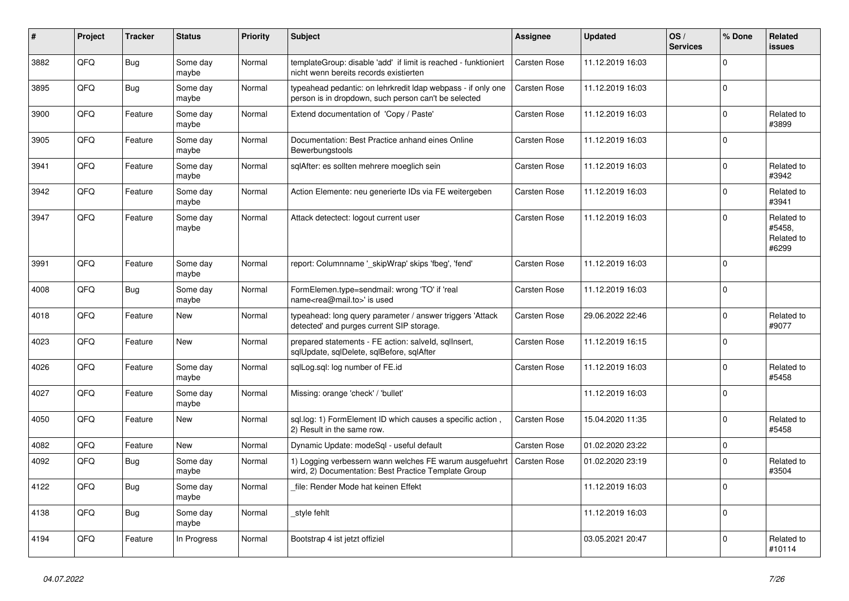| $\vert$ # | Project    | <b>Tracker</b> | <b>Status</b>     | <b>Priority</b> | <b>Subject</b>                                                                                                       | Assignee            | <b>Updated</b>   | OS/<br><b>Services</b> | % Done      | Related<br><b>issues</b>                    |
|-----------|------------|----------------|-------------------|-----------------|----------------------------------------------------------------------------------------------------------------------|---------------------|------------------|------------------------|-------------|---------------------------------------------|
| 3882      | QFQ        | Bug            | Some day<br>maybe | Normal          | templateGroup: disable 'add' if limit is reached - funktioniert<br>nicht wenn bereits records existierten            | <b>Carsten Rose</b> | 11.12.2019 16:03 |                        | $\Omega$    |                                             |
| 3895      | QFQ        | Bug            | Some day<br>maybe | Normal          | typeahead pedantic: on lehrkredit Idap webpass - if only one<br>person is in dropdown, such person can't be selected | <b>Carsten Rose</b> | 11.12.2019 16:03 |                        | $\Omega$    |                                             |
| 3900      | QFQ        | Feature        | Some day<br>maybe | Normal          | Extend documentation of 'Copy / Paste'                                                                               | <b>Carsten Rose</b> | 11.12.2019 16:03 |                        | $\Omega$    | Related to<br>#3899                         |
| 3905      | QFQ        | Feature        | Some day<br>maybe | Normal          | Documentation: Best Practice anhand eines Online<br>Bewerbungstools                                                  | <b>Carsten Rose</b> | 11.12.2019 16:03 |                        | $\Omega$    |                                             |
| 3941      | QFQ        | Feature        | Some day<br>maybe | Normal          | sqlAfter: es sollten mehrere moeglich sein                                                                           | <b>Carsten Rose</b> | 11.12.2019 16:03 |                        | $\Omega$    | Related to<br>#3942                         |
| 3942      | QFQ        | Feature        | Some day<br>maybe | Normal          | Action Elemente: neu generierte IDs via FE weitergeben                                                               | <b>Carsten Rose</b> | 11.12.2019 16:03 |                        | $\Omega$    | Related to<br>#3941                         |
| 3947      | QFQ        | Feature        | Some day<br>maybe | Normal          | Attack detectect: logout current user                                                                                | <b>Carsten Rose</b> | 11.12.2019 16:03 |                        | $\Omega$    | Related to<br>#5458,<br>Related to<br>#6299 |
| 3991      | QFQ        | Feature        | Some day<br>maybe | Normal          | report: Columnname ' skipWrap' skips 'fbeg', 'fend'                                                                  | <b>Carsten Rose</b> | 11.12.2019 16:03 |                        | $\Omega$    |                                             |
| 4008      | QFQ        | Bug            | Some day<br>maybe | Normal          | FormElemen.type=sendmail: wrong 'TO' if 'real<br>name <rea@mail.to>' is used</rea@mail.to>                           | <b>Carsten Rose</b> | 11.12.2019 16:03 |                        | $\Omega$    |                                             |
| 4018      | QFQ        | Feature        | <b>New</b>        | Normal          | typeahead: long query parameter / answer triggers 'Attack<br>detected' and purges current SIP storage.               | <b>Carsten Rose</b> | 29.06.2022 22:46 |                        | $\Omega$    | Related to<br>#9077                         |
| 4023      | QFQ        | Feature        | <b>New</b>        | Normal          | prepared statements - FE action: salveld, sqllnsert,<br>sqlUpdate, sqlDelete, sqlBefore, sqlAfter                    | <b>Carsten Rose</b> | 11.12.2019 16:15 |                        | $\Omega$    |                                             |
| 4026      | QFQ        | Feature        | Some day<br>maybe | Normal          | sqlLog.sql: log number of FE.id                                                                                      | Carsten Rose        | 11.12.2019 16:03 |                        | $\Omega$    | Related to<br>#5458                         |
| 4027      | QFQ        | Feature        | Some day<br>maybe | Normal          | Missing: orange 'check' / 'bullet'                                                                                   |                     | 11.12.2019 16:03 |                        | $\Omega$    |                                             |
| 4050      | <b>OFO</b> | Feature        | <b>New</b>        | Normal          | sql.log: 1) FormElement ID which causes a specific action,<br>2) Result in the same row.                             | Carsten Rose        | 15.04.2020 11:35 |                        | $\Omega$    | Related to<br>#5458                         |
| 4082      | QFQ        | Feature        | New               | Normal          | Dynamic Update: modeSql - useful default                                                                             | <b>Carsten Rose</b> | 01.02.2020 23:22 |                        | $\mathbf 0$ |                                             |
| 4092      | QFQ        | Bug            | Some day<br>maybe | Normal          | 1) Logging verbessern wann welches FE warum ausgefuehrt<br>wird, 2) Documentation: Best Practice Template Group      | <b>Carsten Rose</b> | 01.02.2020 23:19 |                        | 0           | Related to<br>#3504                         |
| 4122      | QFQ        | <b>Bug</b>     | Some day<br>maybe | Normal          | file: Render Mode hat keinen Effekt                                                                                  |                     | 11.12.2019 16:03 |                        | $\Omega$    |                                             |
| 4138      | QFQ        | <b>Bug</b>     | Some day<br>maybe | Normal          | style fehlt                                                                                                          |                     | 11.12.2019 16:03 |                        | $\Omega$    |                                             |
| 4194      | QFQ        | Feature        | In Progress       | Normal          | Bootstrap 4 ist jetzt offiziel                                                                                       |                     | 03.05.2021 20:47 |                        | $\Omega$    | Related to<br>#10114                        |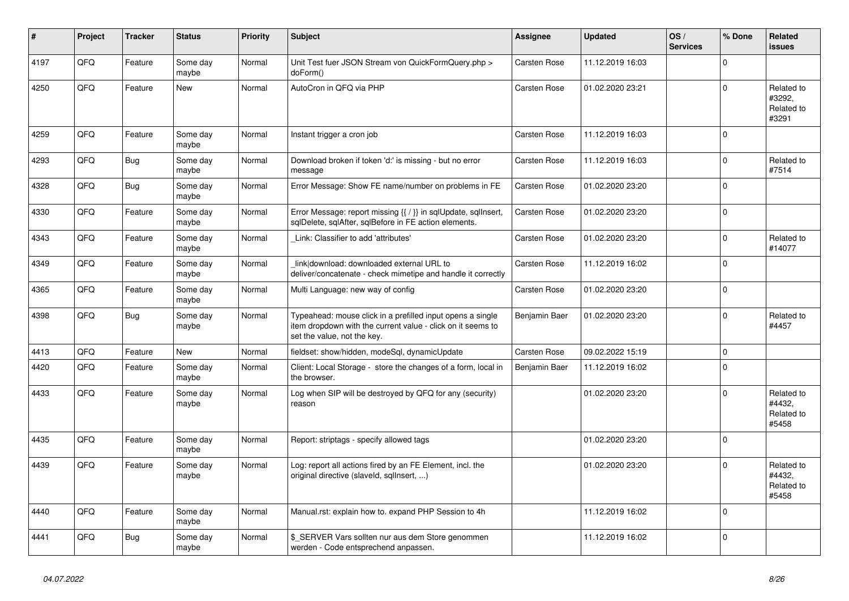| #    | Project | <b>Tracker</b> | <b>Status</b>     | <b>Priority</b> | <b>Subject</b>                                                                                                                                           | <b>Assignee</b>     | <b>Updated</b>   | OS/<br><b>Services</b> | % Done       | Related<br>issues                           |
|------|---------|----------------|-------------------|-----------------|----------------------------------------------------------------------------------------------------------------------------------------------------------|---------------------|------------------|------------------------|--------------|---------------------------------------------|
| 4197 | QFQ     | Feature        | Some day<br>maybe | Normal          | Unit Test fuer JSON Stream von QuickFormQuery.php ><br>doForm()                                                                                          | <b>Carsten Rose</b> | 11.12.2019 16:03 |                        | $\Omega$     |                                             |
| 4250 | QFQ     | Feature        | New               | Normal          | AutoCron in QFQ via PHP                                                                                                                                  | <b>Carsten Rose</b> | 01.02.2020 23:21 |                        | $\mathbf 0$  | Related to<br>#3292,<br>Related to<br>#3291 |
| 4259 | QFQ     | Feature        | Some day<br>maybe | Normal          | Instant trigger a cron job                                                                                                                               | Carsten Rose        | 11.12.2019 16:03 |                        | $\mathbf{0}$ |                                             |
| 4293 | QFQ     | <b>Bug</b>     | Some day<br>maybe | Normal          | Download broken if token 'd:' is missing - but no error<br>message                                                                                       | Carsten Rose        | 11.12.2019 16:03 |                        | $\mathsf 0$  | Related to<br>#7514                         |
| 4328 | QFQ     | <b>Bug</b>     | Some day<br>maybe | Normal          | Error Message: Show FE name/number on problems in FE                                                                                                     | <b>Carsten Rose</b> | 01.02.2020 23:20 |                        | $\mathbf 0$  |                                             |
| 4330 | QFQ     | Feature        | Some day<br>maybe | Normal          | Error Message: report missing {{ / }} in sqlUpdate, sqlInsert,<br>sqlDelete, sqlAfter, sqlBefore in FE action elements.                                  | Carsten Rose        | 01.02.2020 23:20 |                        | $\mathsf 0$  |                                             |
| 4343 | QFQ     | Feature        | Some day<br>maybe | Normal          | Link: Classifier to add 'attributes'                                                                                                                     | <b>Carsten Rose</b> | 01.02.2020 23:20 |                        | $\mathbf 0$  | Related to<br>#14077                        |
| 4349 | QFQ     | Feature        | Some day<br>maybe | Normal          | link download: downloaded external URL to<br>deliver/concatenate - check mimetipe and handle it correctly                                                | Carsten Rose        | 11.12.2019 16:02 |                        | $\mathbf 0$  |                                             |
| 4365 | QFQ     | Feature        | Some day<br>maybe | Normal          | Multi Language: new way of config                                                                                                                        | <b>Carsten Rose</b> | 01.02.2020 23:20 |                        | $\Omega$     |                                             |
| 4398 | QFQ     | Bug            | Some day<br>maybe | Normal          | Typeahead: mouse click in a prefilled input opens a single<br>item dropdown with the current value - click on it seems to<br>set the value, not the key. | Benjamin Baer       | 01.02.2020 23:20 |                        | $\mathbf 0$  | Related to<br>#4457                         |
| 4413 | QFQ     | Feature        | <b>New</b>        | Normal          | fieldset: show/hidden, modeSql, dynamicUpdate                                                                                                            | <b>Carsten Rose</b> | 09.02.2022 15:19 |                        | $\mathbf 0$  |                                             |
| 4420 | QFQ     | Feature        | Some day<br>maybe | Normal          | Client: Local Storage - store the changes of a form, local in<br>the browser.                                                                            | Benjamin Baer       | 11.12.2019 16:02 |                        | $\mathbf 0$  |                                             |
| 4433 | QFQ     | Feature        | Some day<br>maybe | Normal          | Log when SIP will be destroyed by QFQ for any (security)<br>reason                                                                                       |                     | 01.02.2020 23:20 |                        | $\mathbf 0$  | Related to<br>#4432,<br>Related to<br>#5458 |
| 4435 | QFQ     | Feature        | Some day<br>maybe | Normal          | Report: striptags - specify allowed tags                                                                                                                 |                     | 01.02.2020 23:20 |                        | $\mathbf 0$  |                                             |
| 4439 | QFQ     | Feature        | Some day<br>maybe | Normal          | Log: report all actions fired by an FE Element, incl. the<br>original directive (slaveld, sgllnsert, )                                                   |                     | 01.02.2020 23:20 |                        | $\Omega$     | Related to<br>#4432.<br>Related to<br>#5458 |
| 4440 | QFQ     | Feature        | Some day<br>maybe | Normal          | Manual.rst: explain how to. expand PHP Session to 4h                                                                                                     |                     | 11.12.2019 16:02 |                        | $\Omega$     |                                             |
| 4441 | QFQ     | <b>Bug</b>     | Some day<br>maybe | Normal          | \$ SERVER Vars sollten nur aus dem Store genommen<br>werden - Code entsprechend anpassen.                                                                |                     | 11.12.2019 16:02 |                        | $\mathbf 0$  |                                             |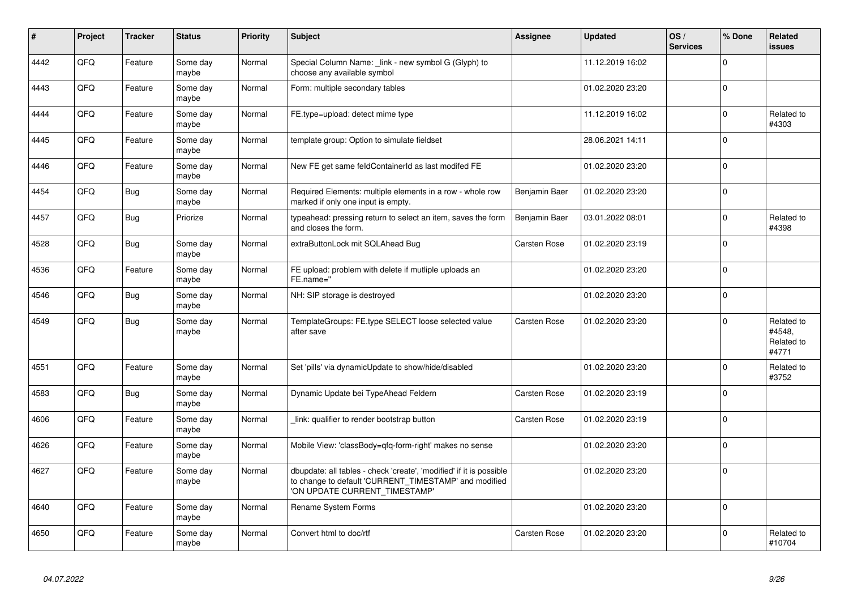| $\vert$ # | <b>Project</b> | <b>Tracker</b> | <b>Status</b>     | <b>Priority</b> | <b>Subject</b>                                                                                                                                                | Assignee            | <b>Updated</b>   | OS/<br><b>Services</b> | % Done      | Related<br><b>issues</b>                    |
|-----------|----------------|----------------|-------------------|-----------------|---------------------------------------------------------------------------------------------------------------------------------------------------------------|---------------------|------------------|------------------------|-------------|---------------------------------------------|
| 4442      | QFQ            | Feature        | Some day<br>maybe | Normal          | Special Column Name: link - new symbol G (Glyph) to<br>choose any available symbol                                                                            |                     | 11.12.2019 16:02 |                        | $\Omega$    |                                             |
| 4443      | QFQ            | Feature        | Some day<br>maybe | Normal          | Form: multiple secondary tables                                                                                                                               |                     | 01.02.2020 23:20 |                        | $\Omega$    |                                             |
| 4444      | QFQ            | Feature        | Some day<br>maybe | Normal          | FE.type=upload: detect mime type                                                                                                                              |                     | 11.12.2019 16:02 |                        | $\Omega$    | Related to<br>#4303                         |
| 4445      | QFQ            | Feature        | Some day<br>maybe | Normal          | template group: Option to simulate fieldset                                                                                                                   |                     | 28.06.2021 14:11 |                        | $\mathbf 0$ |                                             |
| 4446      | QFQ            | Feature        | Some day<br>maybe | Normal          | New FE get same feldContainerId as last modifed FE                                                                                                            |                     | 01.02.2020 23:20 |                        | $\mathbf 0$ |                                             |
| 4454      | QFQ            | <b>Bug</b>     | Some day<br>maybe | Normal          | Required Elements: multiple elements in a row - whole row<br>marked if only one input is empty.                                                               | Benjamin Baer       | 01.02.2020 23:20 |                        | $\mathbf 0$ |                                             |
| 4457      | QFQ            | <b>Bug</b>     | Priorize          | Normal          | typeahead: pressing return to select an item, saves the form<br>and closes the form.                                                                          | Benjamin Baer       | 03.01.2022 08:01 |                        | $\Omega$    | Related to<br>#4398                         |
| 4528      | QFQ            | <b>Bug</b>     | Some day<br>maybe | Normal          | extraButtonLock mit SQLAhead Bug                                                                                                                              | <b>Carsten Rose</b> | 01.02.2020 23:19 |                        | $\Omega$    |                                             |
| 4536      | QFQ            | Feature        | Some day<br>maybe | Normal          | FE upload: problem with delete if mutliple uploads an<br>FE.name="                                                                                            |                     | 01.02.2020 23:20 |                        | $\Omega$    |                                             |
| 4546      | QFQ            | Bug            | Some day<br>maybe | Normal          | NH: SIP storage is destroyed                                                                                                                                  |                     | 01.02.2020 23:20 |                        | $\mathbf 0$ |                                             |
| 4549      | QFQ            | Bug            | Some day<br>maybe | Normal          | TemplateGroups: FE.type SELECT loose selected value<br>after save                                                                                             | <b>Carsten Rose</b> | 01.02.2020 23:20 |                        | $\Omega$    | Related to<br>#4548,<br>Related to<br>#4771 |
| 4551      | QFQ            | Feature        | Some day<br>maybe | Normal          | Set 'pills' via dynamicUpdate to show/hide/disabled                                                                                                           |                     | 01.02.2020 23:20 |                        | $\Omega$    | Related to<br>#3752                         |
| 4583      | QFQ            | Bug            | Some day<br>maybe | Normal          | Dynamic Update bei TypeAhead Feldern                                                                                                                          | Carsten Rose        | 01.02.2020 23:19 |                        | $\Omega$    |                                             |
| 4606      | QFQ            | Feature        | Some day<br>maybe | Normal          | link: qualifier to render bootstrap button                                                                                                                    | <b>Carsten Rose</b> | 01.02.2020 23:19 |                        | $\mathbf 0$ |                                             |
| 4626      | QFQ            | Feature        | Some day<br>maybe | Normal          | Mobile View: 'classBody=qfq-form-right' makes no sense                                                                                                        |                     | 01.02.2020 23:20 |                        | $\mathbf 0$ |                                             |
| 4627      | QFQ            | Feature        | Some day<br>maybe | Normal          | dbupdate: all tables - check 'create', 'modified' if it is possible<br>to change to default 'CURRENT_TIMESTAMP' and modified<br>'ON UPDATE CURRENT TIMESTAMP' |                     | 01.02.2020 23:20 |                        | $\mathbf 0$ |                                             |
| 4640      | QFQ            | Feature        | Some day<br>maybe | Normal          | Rename System Forms                                                                                                                                           |                     | 01.02.2020 23:20 |                        | $\mathbf 0$ |                                             |
| 4650      | QFQ            | Feature        | Some day<br>maybe | Normal          | Convert html to doc/rtf                                                                                                                                       | Carsten Rose        | 01.02.2020 23:20 |                        | $\Omega$    | Related to<br>#10704                        |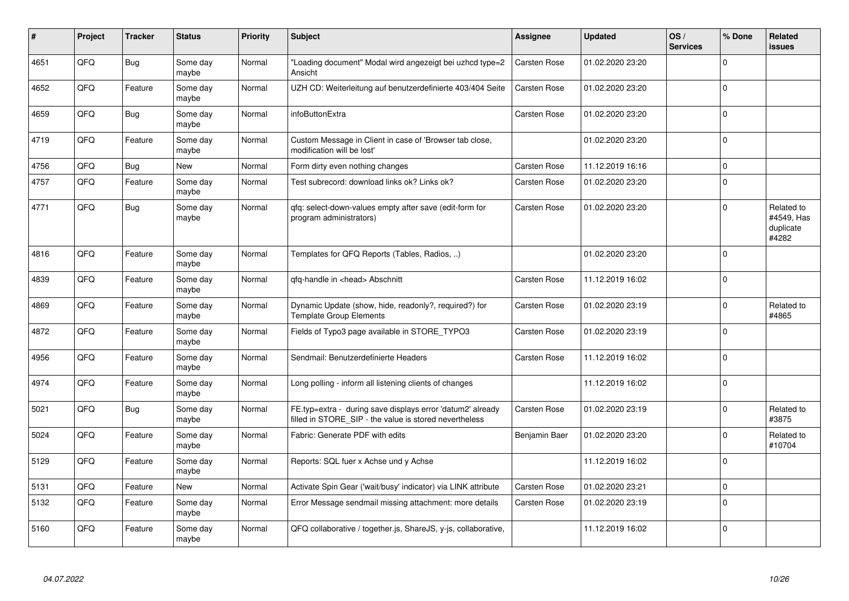| #    | Project | <b>Tracker</b> | <b>Status</b>     | <b>Priority</b> | <b>Subject</b>                                                                                                       | <b>Assignee</b>     | <b>Updated</b>   | OS/<br><b>Services</b> | % Done      | Related<br><b>issues</b>                       |
|------|---------|----------------|-------------------|-----------------|----------------------------------------------------------------------------------------------------------------------|---------------------|------------------|------------------------|-------------|------------------------------------------------|
| 4651 | QFQ     | <b>Bug</b>     | Some day<br>maybe | Normal          | "Loading document" Modal wird angezeigt bei uzhcd type=2<br>Ansicht                                                  | <b>Carsten Rose</b> | 01.02.2020 23:20 |                        | $\Omega$    |                                                |
| 4652 | QFQ     | Feature        | Some day<br>maybe | Normal          | UZH CD: Weiterleitung auf benutzerdefinierte 403/404 Seite                                                           | Carsten Rose        | 01.02.2020 23:20 |                        | $\Omega$    |                                                |
| 4659 | QFQ     | <b>Bug</b>     | Some day<br>maybe | Normal          | infoButtonExtra                                                                                                      | Carsten Rose        | 01.02.2020 23:20 |                        | $\mathbf 0$ |                                                |
| 4719 | QFQ     | Feature        | Some day<br>maybe | Normal          | Custom Message in Client in case of 'Browser tab close,<br>modification will be lost'                                |                     | 01.02.2020 23:20 |                        | $\Omega$    |                                                |
| 4756 | QFQ     | <b>Bug</b>     | <b>New</b>        | Normal          | Form dirty even nothing changes                                                                                      | Carsten Rose        | 11.12.2019 16:16 |                        | $\Omega$    |                                                |
| 4757 | QFQ     | Feature        | Some day<br>maybe | Normal          | Test subrecord: download links ok? Links ok?                                                                         | Carsten Rose        | 01.02.2020 23:20 |                        | $\Omega$    |                                                |
| 4771 | QFQ     | <b>Bug</b>     | Some day<br>maybe | Normal          | qfq: select-down-values empty after save (edit-form for<br>program administrators)                                   | Carsten Rose        | 01.02.2020 23:20 |                        | $\Omega$    | Related to<br>#4549, Has<br>duplicate<br>#4282 |
| 4816 | QFQ     | Feature        | Some day<br>maybe | Normal          | Templates for QFQ Reports (Tables, Radios, )                                                                         |                     | 01.02.2020 23:20 |                        | $\mathbf 0$ |                                                |
| 4839 | QFQ     | Feature        | Some day<br>maybe | Normal          | qfq-handle in <head> Abschnitt</head>                                                                                | <b>Carsten Rose</b> | 11.12.2019 16:02 |                        | $\Omega$    |                                                |
| 4869 | QFQ     | Feature        | Some day<br>maybe | Normal          | Dynamic Update (show, hide, readonly?, required?) for<br><b>Template Group Elements</b>                              | Carsten Rose        | 01.02.2020 23:19 |                        | $\Omega$    | Related to<br>#4865                            |
| 4872 | QFQ     | Feature        | Some day<br>maybe | Normal          | Fields of Typo3 page available in STORE TYPO3                                                                        | Carsten Rose        | 01.02.2020 23:19 |                        | $\mathbf 0$ |                                                |
| 4956 | QFQ     | Feature        | Some day<br>maybe | Normal          | Sendmail: Benutzerdefinierte Headers                                                                                 | Carsten Rose        | 11.12.2019 16:02 |                        | $\mathbf 0$ |                                                |
| 4974 | QFQ     | Feature        | Some day<br>maybe | Normal          | Long polling - inform all listening clients of changes                                                               |                     | 11.12.2019 16:02 |                        | $\Omega$    |                                                |
| 5021 | QFQ     | Bug            | Some day<br>maybe | Normal          | FE.typ=extra - during save displays error 'datum2' already<br>filled in STORE_SIP - the value is stored nevertheless | Carsten Rose        | 01.02.2020 23:19 |                        | $\Omega$    | Related to<br>#3875                            |
| 5024 | QFQ     | Feature        | Some day<br>maybe | Normal          | Fabric: Generate PDF with edits                                                                                      | Benjamin Baer       | 01.02.2020 23:20 |                        | $\Omega$    | Related to<br>#10704                           |
| 5129 | QFQ     | Feature        | Some day<br>maybe | Normal          | Reports: SQL fuer x Achse und y Achse                                                                                |                     | 11.12.2019 16:02 |                        | $\Omega$    |                                                |
| 5131 | QFQ     | Feature        | New               | Normal          | Activate Spin Gear ('wait/busy' indicator) via LINK attribute                                                        | Carsten Rose        | 01.02.2020 23:21 |                        | $\mathbf 0$ |                                                |
| 5132 | QFQ     | Feature        | Some day<br>maybe | Normal          | Error Message sendmail missing attachment: more details                                                              | Carsten Rose        | 01.02.2020 23:19 |                        | $\Omega$    |                                                |
| 5160 | QFQ     | Feature        | Some day<br>maybe | Normal          | QFQ collaborative / together.js, ShareJS, y-js, collaborative,                                                       |                     | 11.12.2019 16:02 |                        | $\Omega$    |                                                |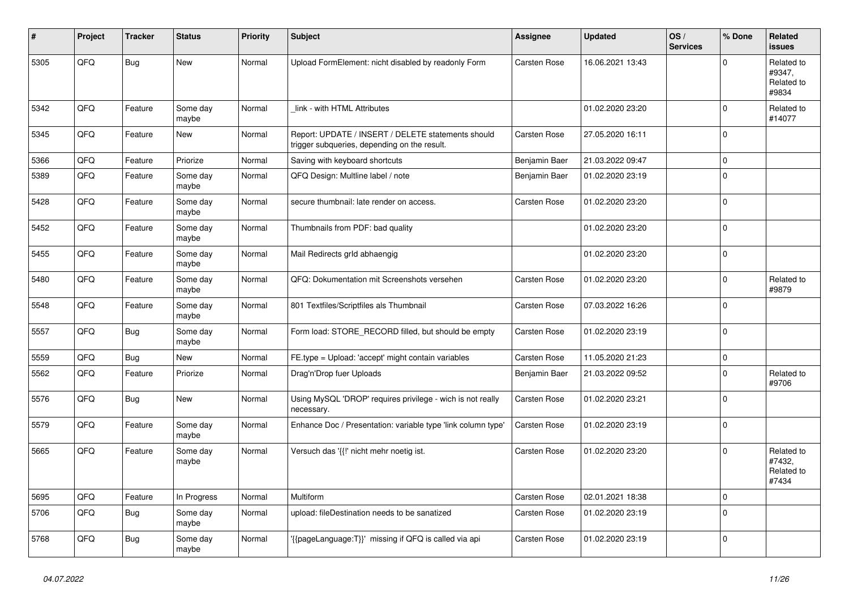| #    | Project | <b>Tracker</b> | <b>Status</b>     | <b>Priority</b> | <b>Subject</b>                                                                                     | <b>Assignee</b>     | <b>Updated</b>   | OS/<br><b>Services</b> | % Done      | Related<br><b>issues</b>                    |
|------|---------|----------------|-------------------|-----------------|----------------------------------------------------------------------------------------------------|---------------------|------------------|------------------------|-------------|---------------------------------------------|
| 5305 | QFQ     | <b>Bug</b>     | New               | Normal          | Upload FormElement: nicht disabled by readonly Form                                                | <b>Carsten Rose</b> | 16.06.2021 13:43 |                        | $\Omega$    | Related to<br>#9347,<br>Related to<br>#9834 |
| 5342 | QFQ     | Feature        | Some day<br>maybe | Normal          | link - with HTML Attributes                                                                        |                     | 01.02.2020 23:20 |                        | 0           | Related to<br>#14077                        |
| 5345 | QFQ     | Feature        | <b>New</b>        | Normal          | Report: UPDATE / INSERT / DELETE statements should<br>trigger subqueries, depending on the result. | <b>Carsten Rose</b> | 27.05.2020 16:11 |                        | $\Omega$    |                                             |
| 5366 | QFQ     | Feature        | Priorize          | Normal          | Saving with keyboard shortcuts                                                                     | Benjamin Baer       | 21.03.2022 09:47 |                        | $\pmb{0}$   |                                             |
| 5389 | QFQ     | Feature        | Some day<br>maybe | Normal          | QFQ Design: Multline label / note                                                                  | Benjamin Baer       | 01.02.2020 23:19 |                        | $\mathbf 0$ |                                             |
| 5428 | QFQ     | Feature        | Some day<br>maybe | Normal          | secure thumbnail: late render on access.                                                           | Carsten Rose        | 01.02.2020 23:20 |                        | $\Omega$    |                                             |
| 5452 | QFQ     | Feature        | Some day<br>maybe | Normal          | Thumbnails from PDF: bad quality                                                                   |                     | 01.02.2020 23:20 |                        | $\mathbf 0$ |                                             |
| 5455 | QFQ     | Feature        | Some day<br>maybe | Normal          | Mail Redirects grld abhaengig                                                                      |                     | 01.02.2020 23:20 |                        | $\Omega$    |                                             |
| 5480 | QFQ     | Feature        | Some day<br>maybe | Normal          | QFQ: Dokumentation mit Screenshots versehen                                                        | Carsten Rose        | 01.02.2020 23:20 |                        | $\mathbf 0$ | Related to<br>#9879                         |
| 5548 | QFQ     | Feature        | Some day<br>maybe | Normal          | 801 Textfiles/Scriptfiles als Thumbnail                                                            | <b>Carsten Rose</b> | 07.03.2022 16:26 |                        | $\mathbf 0$ |                                             |
| 5557 | QFQ     | <b>Bug</b>     | Some day<br>maybe | Normal          | Form load: STORE_RECORD filled, but should be empty                                                | <b>Carsten Rose</b> | 01.02.2020 23:19 |                        | $\Omega$    |                                             |
| 5559 | QFQ     | <b>Bug</b>     | New               | Normal          | FE.type = Upload: 'accept' might contain variables                                                 | Carsten Rose        | 11.05.2020 21:23 |                        | $\pmb{0}$   |                                             |
| 5562 | QFQ     | Feature        | Priorize          | Normal          | Drag'n'Drop fuer Uploads                                                                           | Benjamin Baer       | 21.03.2022 09:52 |                        | $\Omega$    | Related to<br>#9706                         |
| 5576 | QFQ     | <b>Bug</b>     | New               | Normal          | Using MySQL 'DROP' requires privilege - wich is not really<br>necessary.                           | Carsten Rose        | 01.02.2020 23:21 |                        | $\Omega$    |                                             |
| 5579 | QFQ     | Feature        | Some day<br>maybe | Normal          | Enhance Doc / Presentation: variable type 'link column type'                                       | Carsten Rose        | 01.02.2020 23:19 |                        | $\Omega$    |                                             |
| 5665 | QFQ     | Feature        | Some day<br>maybe | Normal          | Versuch das '{{!' nicht mehr noetig ist.                                                           | <b>Carsten Rose</b> | 01.02.2020 23:20 |                        | $\mathbf 0$ | Related to<br>#7432,<br>Related to<br>#7434 |
| 5695 | QFQ     | Feature        | In Progress       | Normal          | Multiform                                                                                          | Carsten Rose        | 02.01.2021 18:38 |                        | $\mathbf 0$ |                                             |
| 5706 | QFQ     | <b>Bug</b>     | Some day<br>maybe | Normal          | upload: fileDestination needs to be sanatized                                                      | Carsten Rose        | 01.02.2020 23:19 |                        | $\Omega$    |                                             |
| 5768 | QFQ     | Bug            | Some day<br>maybe | Normal          | {{pageLanguage:T}}' missing if QFQ is called via api                                               | Carsten Rose        | 01.02.2020 23:19 |                        | $\Omega$    |                                             |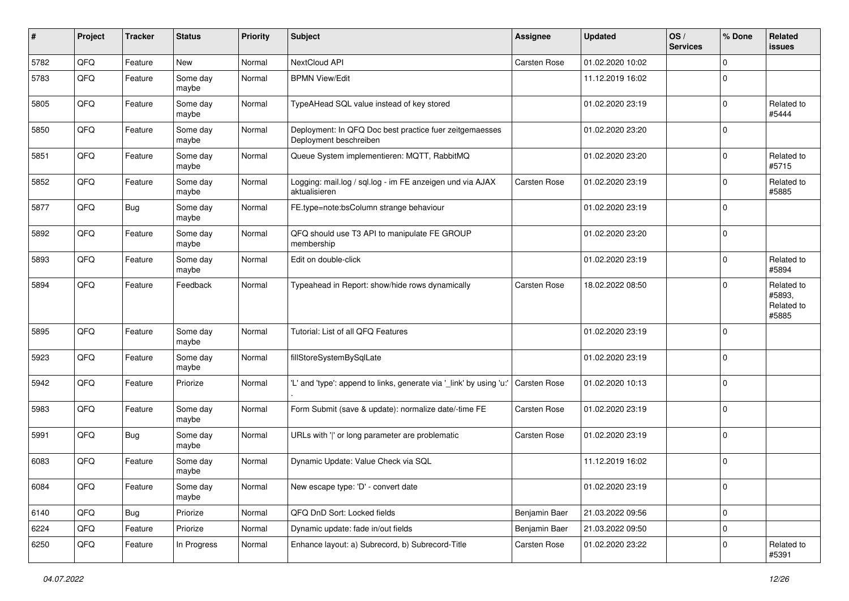| #    | Project | <b>Tracker</b> | <b>Status</b>     | <b>Priority</b> | <b>Subject</b>                                                                    | <b>Assignee</b>     | <b>Updated</b>   | OS/<br><b>Services</b> | % Done      | <b>Related</b><br>issues                    |
|------|---------|----------------|-------------------|-----------------|-----------------------------------------------------------------------------------|---------------------|------------------|------------------------|-------------|---------------------------------------------|
| 5782 | QFQ     | Feature        | <b>New</b>        | Normal          | NextCloud API                                                                     | Carsten Rose        | 01.02.2020 10:02 |                        | $\mathbf 0$ |                                             |
| 5783 | QFQ     | Feature        | Some day<br>maybe | Normal          | <b>BPMN View/Edit</b>                                                             |                     | 11.12.2019 16:02 |                        | $\mathbf 0$ |                                             |
| 5805 | QFQ     | Feature        | Some day<br>maybe | Normal          | TypeAHead SQL value instead of key stored                                         |                     | 01.02.2020 23:19 |                        | $\mathbf 0$ | Related to<br>#5444                         |
| 5850 | QFQ     | Feature        | Some day<br>maybe | Normal          | Deployment: In QFQ Doc best practice fuer zeitgemaesses<br>Deployment beschreiben |                     | 01.02.2020 23:20 |                        | $\mathbf 0$ |                                             |
| 5851 | QFQ     | Feature        | Some day<br>maybe | Normal          | Queue System implementieren: MQTT, RabbitMQ                                       |                     | 01.02.2020 23:20 |                        | $\Omega$    | Related to<br>#5715                         |
| 5852 | QFQ     | Feature        | Some day<br>maybe | Normal          | Logging: mail.log / sql.log - im FE anzeigen und via AJAX<br>aktualisieren        | Carsten Rose        | 01.02.2020 23:19 |                        | $\mathbf 0$ | Related to<br>#5885                         |
| 5877 | QFQ     | <b>Bug</b>     | Some day<br>maybe | Normal          | FE.type=note:bsColumn strange behaviour                                           |                     | 01.02.2020 23:19 |                        | $\mathbf 0$ |                                             |
| 5892 | QFQ     | Feature        | Some day<br>maybe | Normal          | QFQ should use T3 API to manipulate FE GROUP<br>membership                        |                     | 01.02.2020 23:20 |                        | $\mathbf 0$ |                                             |
| 5893 | QFQ     | Feature        | Some day<br>maybe | Normal          | Edit on double-click                                                              |                     | 01.02.2020 23:19 |                        | 0           | Related to<br>#5894                         |
| 5894 | QFQ     | Feature        | Feedback          | Normal          | Typeahead in Report: show/hide rows dynamically                                   | Carsten Rose        | 18.02.2022 08:50 |                        | $\mathbf 0$ | Related to<br>#5893,<br>Related to<br>#5885 |
| 5895 | QFQ     | Feature        | Some day<br>maybe | Normal          | Tutorial: List of all QFQ Features                                                |                     | 01.02.2020 23:19 |                        | $\mathbf 0$ |                                             |
| 5923 | QFQ     | Feature        | Some day<br>maybe | Normal          | fillStoreSystemBySqlLate                                                          |                     | 01.02.2020 23:19 |                        | $\mathbf 0$ |                                             |
| 5942 | QFQ     | Feature        | Priorize          | Normal          | 'L' and 'type': append to links, generate via '_link' by using 'u:'               | <b>Carsten Rose</b> | 01.02.2020 10:13 |                        | $\mathbf 0$ |                                             |
| 5983 | QFQ     | Feature        | Some day<br>maybe | Normal          | Form Submit (save & update): normalize date/-time FE                              | Carsten Rose        | 01.02.2020 23:19 |                        | $\mathbf 0$ |                                             |
| 5991 | QFQ     | <b>Bug</b>     | Some day<br>maybe | Normal          | URLs with ' ' or long parameter are problematic                                   | Carsten Rose        | 01.02.2020 23:19 |                        | $\mathbf 0$ |                                             |
| 6083 | QFQ     | Feature        | Some day<br>maybe | Normal          | Dynamic Update: Value Check via SQL                                               |                     | 11.12.2019 16:02 |                        | $\mathbf 0$ |                                             |
| 6084 | QFQ     | Feature        | Some day<br>maybe | Normal          | New escape type: 'D' - convert date                                               |                     | 01.02.2020 23:19 |                        | 0           |                                             |
| 6140 | QFQ     | <b>Bug</b>     | Priorize          | Normal          | QFQ DnD Sort: Locked fields                                                       | Benjamin Baer       | 21.03.2022 09:56 |                        | $\mathbf 0$ |                                             |
| 6224 | QFQ     | Feature        | Priorize          | Normal          | Dynamic update: fade in/out fields                                                | Benjamin Baer       | 21.03.2022 09:50 |                        | $\mathbf 0$ |                                             |
| 6250 | QFQ     | Feature        | In Progress       | Normal          | Enhance layout: a) Subrecord, b) Subrecord-Title                                  | Carsten Rose        | 01.02.2020 23:22 |                        | 0           | Related to<br>#5391                         |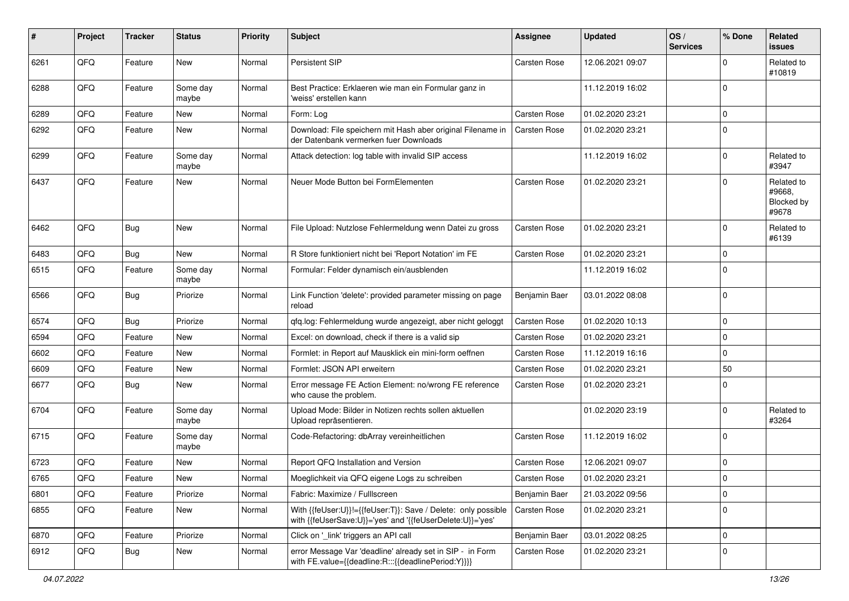| #    | Project | <b>Tracker</b> | <b>Status</b>     | <b>Priority</b> | <b>Subject</b>                                                                                                             | Assignee            | <b>Updated</b>   | OS/<br><b>Services</b> | % Done      | Related<br><b>issues</b>                    |
|------|---------|----------------|-------------------|-----------------|----------------------------------------------------------------------------------------------------------------------------|---------------------|------------------|------------------------|-------------|---------------------------------------------|
| 6261 | QFQ     | Feature        | <b>New</b>        | Normal          | Persistent SIP                                                                                                             | Carsten Rose        | 12.06.2021 09:07 |                        | $\Omega$    | Related to<br>#10819                        |
| 6288 | QFQ     | Feature        | Some day<br>maybe | Normal          | Best Practice: Erklaeren wie man ein Formular ganz in<br>'weiss' erstellen kann                                            |                     | 11.12.2019 16:02 |                        | $\mathbf 0$ |                                             |
| 6289 | QFQ     | Feature        | New               | Normal          | Form: Log                                                                                                                  | Carsten Rose        | 01.02.2020 23:21 |                        | $\Omega$    |                                             |
| 6292 | QFQ     | Feature        | <b>New</b>        | Normal          | Download: File speichern mit Hash aber original Filename in<br>der Datenbank vermerken fuer Downloads                      | <b>Carsten Rose</b> | 01.02.2020 23:21 |                        | $\Omega$    |                                             |
| 6299 | QFQ     | Feature        | Some day<br>maybe | Normal          | Attack detection: log table with invalid SIP access                                                                        |                     | 11.12.2019 16:02 |                        | $\Omega$    | Related to<br>#3947                         |
| 6437 | QFQ     | Feature        | New               | Normal          | Neuer Mode Button bei FormElementen                                                                                        | Carsten Rose        | 01.02.2020 23:21 |                        | $\mathbf 0$ | Related to<br>#9668,<br>Blocked by<br>#9678 |
| 6462 | QFQ     | <b>Bug</b>     | New               | Normal          | File Upload: Nutzlose Fehlermeldung wenn Datei zu gross                                                                    | Carsten Rose        | 01.02.2020 23:21 |                        | $\mathbf 0$ | Related to<br>#6139                         |
| 6483 | QFQ     | Bug            | New               | Normal          | R Store funktioniert nicht bei 'Report Notation' im FE                                                                     | <b>Carsten Rose</b> | 01.02.2020 23:21 |                        | $\mathbf 0$ |                                             |
| 6515 | QFQ     | Feature        | Some day<br>maybe | Normal          | Formular: Felder dynamisch ein/ausblenden                                                                                  |                     | 11.12.2019 16:02 |                        | $\mathbf 0$ |                                             |
| 6566 | QFQ     | <b>Bug</b>     | Priorize          | Normal          | Link Function 'delete': provided parameter missing on page<br>reload                                                       | Benjamin Baer       | 03.01.2022 08:08 |                        | $\Omega$    |                                             |
| 6574 | QFQ     | <b>Bug</b>     | Priorize          | Normal          | qfq.log: Fehlermeldung wurde angezeigt, aber nicht geloggt                                                                 | Carsten Rose        | 01.02.2020 10:13 |                        | $\mathbf 0$ |                                             |
| 6594 | QFQ     | Feature        | New               | Normal          | Excel: on download, check if there is a valid sip                                                                          | Carsten Rose        | 01.02.2020 23:21 |                        | $\Omega$    |                                             |
| 6602 | QFQ     | Feature        | <b>New</b>        | Normal          | Formlet: in Report auf Mausklick ein mini-form oeffnen                                                                     | Carsten Rose        | 11.12.2019 16:16 |                        | $\mathbf 0$ |                                             |
| 6609 | QFQ     | Feature        | New               | Normal          | Formlet: JSON API erweitern                                                                                                | <b>Carsten Rose</b> | 01.02.2020 23:21 |                        | 50          |                                             |
| 6677 | QFQ     | Bug            | New               | Normal          | Error message FE Action Element: no/wrong FE reference<br>who cause the problem.                                           | <b>Carsten Rose</b> | 01.02.2020 23:21 |                        | $\Omega$    |                                             |
| 6704 | QFQ     | Feature        | Some day<br>maybe | Normal          | Upload Mode: Bilder in Notizen rechts sollen aktuellen<br>Upload repräsentieren.                                           |                     | 01.02.2020 23:19 |                        | $\Omega$    | Related to<br>#3264                         |
| 6715 | QFQ     | Feature        | Some day<br>maybe | Normal          | Code-Refactoring: dbArray vereinheitlichen                                                                                 | Carsten Rose        | 11.12.2019 16:02 |                        | $\mathbf 0$ |                                             |
| 6723 | QFQ     | Feature        | New               | Normal          | Report QFQ Installation and Version                                                                                        | Carsten Rose        | 12.06.2021 09:07 |                        | $\mathbf 0$ |                                             |
| 6765 | QFQ     | Feature        | New               | Normal          | Moeglichkeit via QFQ eigene Logs zu schreiben                                                                              | Carsten Rose        | 01.02.2020 23:21 |                        | $\Omega$    |                                             |
| 6801 | QFQ     | Feature        | Priorize          | Normal          | Fabric: Maximize / FullIscreen                                                                                             | Benjamin Baer       | 21.03.2022 09:56 |                        | $\mathbf 0$ |                                             |
| 6855 | QFQ     | Feature        | New               | Normal          | With {{feUser:U}}!={{feUser:T}}: Save / Delete: only possible<br>with {{feUserSave:U}}='yes' and '{{feUserDelete:U}}='yes' | <b>Carsten Rose</b> | 01.02.2020 23:21 |                        | $\mathbf 0$ |                                             |
| 6870 | QFQ     | Feature        | Priorize          | Normal          | Click on '_link' triggers an API call                                                                                      | Benjamin Baer       | 03.01.2022 08:25 |                        | $\mathbf 0$ |                                             |
| 6912 | QFQ     | <b>Bug</b>     | New               | Normal          | error Message Var 'deadline' already set in SIP - in Form<br>with FE.value={{deadline:R:::{{deadlinePeriod:Y}}}}           | Carsten Rose        | 01.02.2020 23:21 |                        | $\mathbf 0$ |                                             |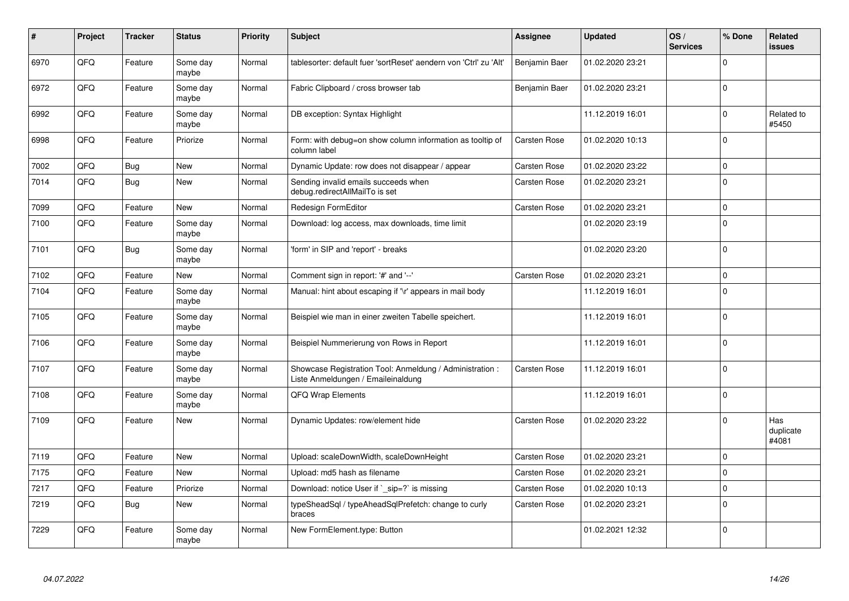| #    | Project | <b>Tracker</b> | <b>Status</b>     | <b>Priority</b> | <b>Subject</b>                                                                                 | <b>Assignee</b>     | <b>Updated</b>   | OS/<br><b>Services</b> | % Done      | Related<br><b>issues</b>  |
|------|---------|----------------|-------------------|-----------------|------------------------------------------------------------------------------------------------|---------------------|------------------|------------------------|-------------|---------------------------|
| 6970 | QFQ     | Feature        | Some day<br>maybe | Normal          | tablesorter: default fuer 'sortReset' aendern von 'Ctrl' zu 'Alt'                              | Benjamin Baer       | 01.02.2020 23:21 |                        | $\Omega$    |                           |
| 6972 | QFQ     | Feature        | Some day<br>maybe | Normal          | Fabric Clipboard / cross browser tab                                                           | Benjamin Baer       | 01.02.2020 23:21 |                        | $\mathbf 0$ |                           |
| 6992 | QFQ     | Feature        | Some day<br>maybe | Normal          | DB exception: Syntax Highlight                                                                 |                     | 11.12.2019 16:01 |                        | $\Omega$    | Related to<br>#5450       |
| 6998 | QFQ     | Feature        | Priorize          | Normal          | Form: with debug=on show column information as tooltip of<br>column label                      | <b>Carsten Rose</b> | 01.02.2020 10:13 |                        | $\Omega$    |                           |
| 7002 | QFQ     | <b>Bug</b>     | <b>New</b>        | Normal          | Dynamic Update: row does not disappear / appear                                                | <b>Carsten Rose</b> | 01.02.2020 23:22 |                        | $\Omega$    |                           |
| 7014 | QFQ     | <b>Bug</b>     | New               | Normal          | Sending invalid emails succeeds when<br>debug.redirectAllMailTo is set                         | Carsten Rose        | 01.02.2020 23:21 |                        | $\Omega$    |                           |
| 7099 | QFQ     | Feature        | <b>New</b>        | Normal          | Redesign FormEditor                                                                            | <b>Carsten Rose</b> | 01.02.2020 23:21 |                        | $\Omega$    |                           |
| 7100 | QFQ     | Feature        | Some day<br>maybe | Normal          | Download: log access, max downloads, time limit                                                |                     | 01.02.2020 23:19 |                        | $\Omega$    |                           |
| 7101 | QFQ     | <b>Bug</b>     | Some day<br>maybe | Normal          | 'form' in SIP and 'report' - breaks                                                            |                     | 01.02.2020 23:20 |                        | $\Omega$    |                           |
| 7102 | QFQ     | Feature        | New               | Normal          | Comment sign in report: '#' and '--'                                                           | <b>Carsten Rose</b> | 01.02.2020 23:21 |                        | $\mathbf 0$ |                           |
| 7104 | QFQ     | Feature        | Some day<br>maybe | Normal          | Manual: hint about escaping if '\r' appears in mail body                                       |                     | 11.12.2019 16:01 |                        | $\Omega$    |                           |
| 7105 | QFQ     | Feature        | Some day<br>maybe | Normal          | Beispiel wie man in einer zweiten Tabelle speichert.                                           |                     | 11.12.2019 16:01 |                        | $\Omega$    |                           |
| 7106 | QFQ     | Feature        | Some day<br>maybe | Normal          | Beispiel Nummerierung von Rows in Report                                                       |                     | 11.12.2019 16:01 |                        | $\Omega$    |                           |
| 7107 | QFQ     | Feature        | Some day<br>maybe | Normal          | Showcase Registration Tool: Anmeldung / Administration :<br>Liste Anmeldungen / Emaileinaldung | Carsten Rose        | 11.12.2019 16:01 |                        | $\Omega$    |                           |
| 7108 | QFQ     | Feature        | Some day<br>maybe | Normal          | <b>QFQ Wrap Elements</b>                                                                       |                     | 11.12.2019 16:01 |                        | $\Omega$    |                           |
| 7109 | QFQ     | Feature        | <b>New</b>        | Normal          | Dynamic Updates: row/element hide                                                              | Carsten Rose        | 01.02.2020 23:22 |                        | $\Omega$    | Has<br>duplicate<br>#4081 |
| 7119 | QFQ     | Feature        | <b>New</b>        | Normal          | Upload: scaleDownWidth, scaleDownHeight                                                        | <b>Carsten Rose</b> | 01.02.2020 23:21 |                        | $\mathbf 0$ |                           |
| 7175 | QFQ     | Feature        | <b>New</b>        | Normal          | Upload: md5 hash as filename                                                                   | Carsten Rose        | 01.02.2020 23:21 |                        | $\Omega$    |                           |
| 7217 | QFQ     | Feature        | Priorize          | Normal          | Download: notice User if `_sip=?` is missing                                                   | <b>Carsten Rose</b> | 01.02.2020 10:13 |                        | $\Omega$    |                           |
| 7219 | QFQ     | Bug            | New               | Normal          | typeSheadSql / typeAheadSqlPrefetch: change to curly<br>braces                                 | Carsten Rose        | 01.02.2020 23:21 |                        | $\Omega$    |                           |
| 7229 | QFQ     | Feature        | Some day<br>maybe | Normal          | New FormElement.type: Button                                                                   |                     | 01.02.2021 12:32 |                        | $\Omega$    |                           |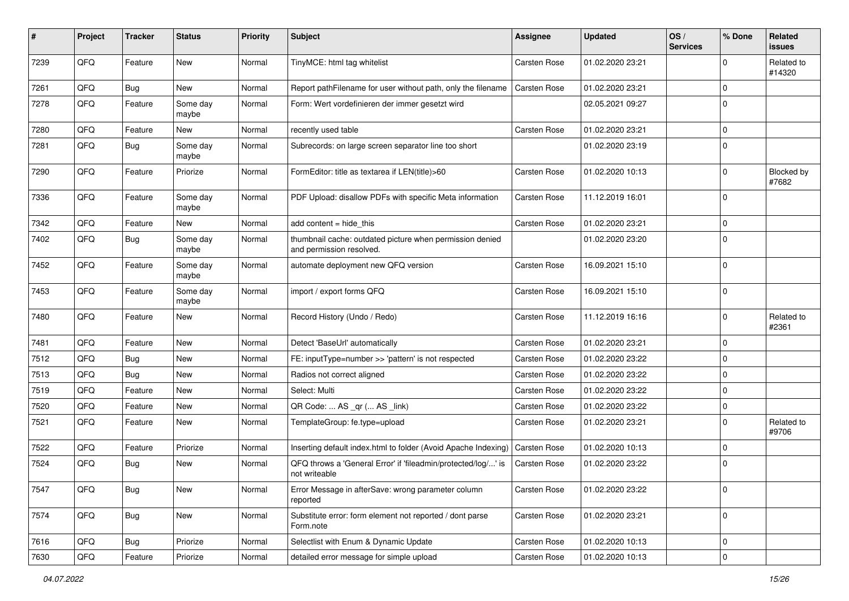| #    | Project | <b>Tracker</b> | <b>Status</b>     | <b>Priority</b> | <b>Subject</b>                                                                       | <b>Assignee</b>     | <b>Updated</b>   | OS/<br><b>Services</b> | % Done      | Related<br><b>issues</b> |
|------|---------|----------------|-------------------|-----------------|--------------------------------------------------------------------------------------|---------------------|------------------|------------------------|-------------|--------------------------|
| 7239 | QFQ     | Feature        | New               | Normal          | TinyMCE: html tag whitelist                                                          | Carsten Rose        | 01.02.2020 23:21 |                        | $\Omega$    | Related to<br>#14320     |
| 7261 | QFQ     | <b>Bug</b>     | New               | Normal          | Report pathFilename for user without path, only the filename                         | <b>Carsten Rose</b> | 01.02.2020 23:21 |                        | $\Omega$    |                          |
| 7278 | QFQ     | Feature        | Some day<br>maybe | Normal          | Form: Wert vordefinieren der immer gesetzt wird                                      |                     | 02.05.2021 09:27 |                        | $\Omega$    |                          |
| 7280 | QFQ     | Feature        | <b>New</b>        | Normal          | recently used table                                                                  | Carsten Rose        | 01.02.2020 23:21 |                        | $\mathbf 0$ |                          |
| 7281 | QFQ     | <b>Bug</b>     | Some day<br>maybe | Normal          | Subrecords: on large screen separator line too short                                 |                     | 01.02.2020 23:19 |                        | $\mathbf 0$ |                          |
| 7290 | QFQ     | Feature        | Priorize          | Normal          | FormEditor: title as textarea if LEN(title)>60                                       | <b>Carsten Rose</b> | 01.02.2020 10:13 |                        | $\Omega$    | Blocked by<br>#7682      |
| 7336 | QFQ     | Feature        | Some day<br>maybe | Normal          | PDF Upload: disallow PDFs with specific Meta information                             | <b>Carsten Rose</b> | 11.12.2019 16:01 |                        | $\Omega$    |                          |
| 7342 | QFQ     | Feature        | New               | Normal          | add content = hide this                                                              | <b>Carsten Rose</b> | 01.02.2020 23:21 |                        | $\mathbf 0$ |                          |
| 7402 | QFQ     | <b>Bug</b>     | Some day<br>maybe | Normal          | thumbnail cache: outdated picture when permission denied<br>and permission resolved. |                     | 01.02.2020 23:20 |                        | $\Omega$    |                          |
| 7452 | QFQ     | Feature        | Some day<br>maybe | Normal          | automate deployment new QFQ version                                                  | Carsten Rose        | 16.09.2021 15:10 |                        | $\Omega$    |                          |
| 7453 | QFQ     | Feature        | Some day<br>maybe | Normal          | import / export forms QFQ                                                            | <b>Carsten Rose</b> | 16.09.2021 15:10 |                        | $\mathbf 0$ |                          |
| 7480 | QFQ     | Feature        | New               | Normal          | Record History (Undo / Redo)                                                         | <b>Carsten Rose</b> | 11.12.2019 16:16 |                        | $\mathbf 0$ | Related to<br>#2361      |
| 7481 | QFQ     | Feature        | <b>New</b>        | Normal          | Detect 'BaseUrl' automatically                                                       | <b>Carsten Rose</b> | 01.02.2020 23:21 |                        | $\Omega$    |                          |
| 7512 | QFQ     | <b>Bug</b>     | <b>New</b>        | Normal          | FE: inputType=number >> 'pattern' is not respected                                   | Carsten Rose        | 01.02.2020 23:22 |                        | $\mathbf 0$ |                          |
| 7513 | QFQ     | Bug            | New               | Normal          | Radios not correct aligned                                                           | <b>Carsten Rose</b> | 01.02.2020 23:22 |                        | $\Omega$    |                          |
| 7519 | QFQ     | Feature        | New               | Normal          | Select: Multi                                                                        | Carsten Rose        | 01.02.2020 23:22 |                        | $\Omega$    |                          |
| 7520 | QFQ     | Feature        | <b>New</b>        | Normal          | QR Code:  AS _qr ( AS _link)                                                         | Carsten Rose        | 01.02.2020 23:22 |                        | $\Omega$    |                          |
| 7521 | QFQ     | Feature        | New               | Normal          | TemplateGroup: fe.type=upload                                                        | Carsten Rose        | 01.02.2020 23:21 |                        | $\Omega$    | Related to<br>#9706      |
| 7522 | QFQ     | Feature        | Priorize          | Normal          | Inserting default index.html to folder (Avoid Apache Indexing)                       | Carsten Rose        | 01.02.2020 10:13 |                        | $\Omega$    |                          |
| 7524 | QFQ     | <b>Bug</b>     | New               | Normal          | QFQ throws a 'General Error' if 'fileadmin/protected/log/' is<br>not writeable       | Carsten Rose        | 01.02.2020 23:22 |                        | $\mathbf 0$ |                          |
| 7547 | QFG     | <b>Bug</b>     | New               | Normal          | Error Message in afterSave: wrong parameter column<br>reported                       | Carsten Rose        | 01.02.2020 23:22 |                        | $\pmb{0}$   |                          |
| 7574 | QFG     | <b>Bug</b>     | New               | Normal          | Substitute error: form element not reported / dont parse<br>Form.note                | Carsten Rose        | 01.02.2020 23:21 |                        | $\mathbf 0$ |                          |
| 7616 | QFQ     | <b>Bug</b>     | Priorize          | Normal          | Selectlist with Enum & Dynamic Update                                                | Carsten Rose        | 01.02.2020 10:13 |                        | 0           |                          |
| 7630 | QFQ     | Feature        | Priorize          | Normal          | detailed error message for simple upload                                             | Carsten Rose        | 01.02.2020 10:13 |                        | $\mathbf 0$ |                          |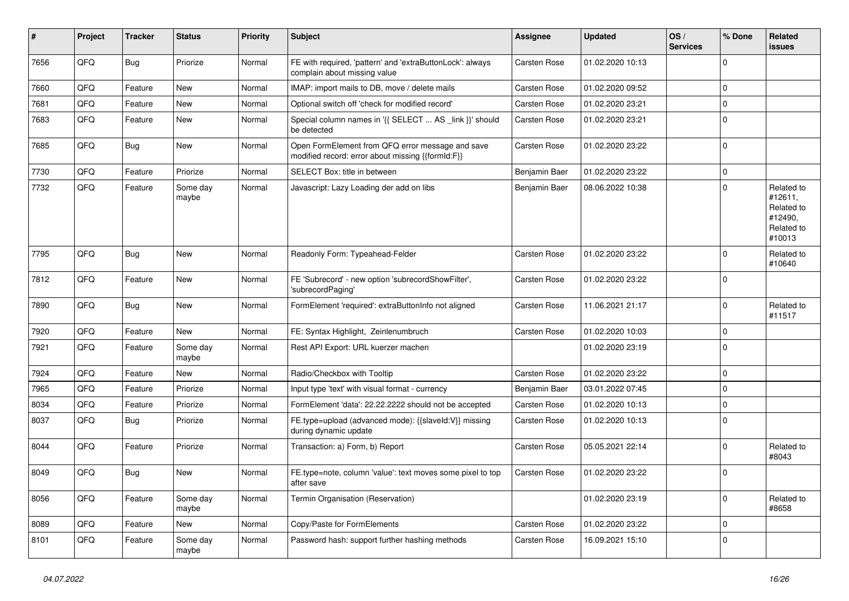| ∦    | Project | <b>Tracker</b> | <b>Status</b>     | <b>Priority</b> | <b>Subject</b>                                                                                        | <b>Assignee</b>     | <b>Updated</b>   | OS/<br><b>Services</b> | % Done      | Related<br><b>issues</b>                                               |
|------|---------|----------------|-------------------|-----------------|-------------------------------------------------------------------------------------------------------|---------------------|------------------|------------------------|-------------|------------------------------------------------------------------------|
| 7656 | QFQ     | Bug            | Priorize          | Normal          | FE with required, 'pattern' and 'extraButtonLock': always<br>complain about missing value             | <b>Carsten Rose</b> | 01.02.2020 10:13 |                        | $\Omega$    |                                                                        |
| 7660 | QFQ     | Feature        | New               | Normal          | IMAP: import mails to DB, move / delete mails                                                         | <b>Carsten Rose</b> | 01.02.2020 09:52 |                        | $\mathbf 0$ |                                                                        |
| 7681 | QFQ     | Feature        | New               | Normal          | Optional switch off 'check for modified record'                                                       | <b>Carsten Rose</b> | 01.02.2020 23:21 |                        | $\mathbf 0$ |                                                                        |
| 7683 | QFQ     | Feature        | New               | Normal          | Special column names in '{{ SELECT  AS _link }}' should<br>be detected                                | <b>Carsten Rose</b> | 01.02.2020 23:21 |                        | $\Omega$    |                                                                        |
| 7685 | QFQ     | <b>Bug</b>     | New               | Normal          | Open FormElement from QFQ error message and save<br>modified record: error about missing {{formId:F}} | Carsten Rose        | 01.02.2020 23:22 |                        | $\Omega$    |                                                                        |
| 7730 | QFQ     | Feature        | Priorize          | Normal          | SELECT Box: title in between                                                                          | Benjamin Baer       | 01.02.2020 23:22 |                        | $\Omega$    |                                                                        |
| 7732 | QFQ     | Feature        | Some day<br>maybe | Normal          | Javascript: Lazy Loading der add on libs                                                              | Benjamin Baer       | 08.06.2022 10:38 |                        | $\Omega$    | Related to<br>#12611,<br>Related to<br>#12490,<br>Related to<br>#10013 |
| 7795 | QFQ     | <b>Bug</b>     | New               | Normal          | Readonly Form: Typeahead-Felder                                                                       | Carsten Rose        | 01.02.2020 23:22 |                        | $\Omega$    | Related to<br>#10640                                                   |
| 7812 | QFQ     | Feature        | New               | Normal          | FE 'Subrecord' - new option 'subrecordShowFilter',<br>'subrecordPaging'                               | Carsten Rose        | 01.02.2020 23:22 |                        | $\Omega$    |                                                                        |
| 7890 | QFQ     | Bug            | New               | Normal          | FormElement 'required': extraButtonInfo not aligned                                                   | <b>Carsten Rose</b> | 11.06.2021 21:17 |                        | $\Omega$    | Related to<br>#11517                                                   |
| 7920 | QFQ     | Feature        | New               | Normal          | FE: Syntax Highlight, Zeinlenumbruch                                                                  | Carsten Rose        | 01.02.2020 10:03 |                        | $\mathbf 0$ |                                                                        |
| 7921 | QFQ     | Feature        | Some day<br>maybe | Normal          | Rest API Export: URL kuerzer machen                                                                   |                     | 01.02.2020 23:19 |                        | $\Omega$    |                                                                        |
| 7924 | QFQ     | Feature        | <b>New</b>        | Normal          | Radio/Checkbox with Tooltip                                                                           | <b>Carsten Rose</b> | 01.02.2020 23:22 |                        | $\Omega$    |                                                                        |
| 7965 | QFQ     | Feature        | Priorize          | Normal          | Input type 'text' with visual format - currency                                                       | Benjamin Baer       | 03.01.2022 07:45 |                        | $\Omega$    |                                                                        |
| 8034 | QFQ     | Feature        | Priorize          | Normal          | FormElement 'data': 22.22.2222 should not be accepted                                                 | Carsten Rose        | 01.02.2020 10:13 |                        | $\Omega$    |                                                                        |
| 8037 | QFQ     | <b>Bug</b>     | Priorize          | Normal          | FE.type=upload (advanced mode): {{slaveId:V}} missing<br>during dynamic update                        | Carsten Rose        | 01.02.2020 10:13 |                        | $\Omega$    |                                                                        |
| 8044 | QFQ     | Feature        | Priorize          | Normal          | Transaction: a) Form, b) Report                                                                       | Carsten Rose        | 05.05.2021 22:14 |                        | $\Omega$    | Related to<br>#8043                                                    |
| 8049 | QFQ     | Bug            | New               | Normal          | FE.type=note, column 'value': text moves some pixel to top<br>after save                              | <b>Carsten Rose</b> | 01.02.2020 23:22 |                        | $\Omega$    |                                                                        |
| 8056 | QFQ     | Feature        | Some day<br>maybe | Normal          | Termin Organisation (Reservation)                                                                     |                     | 01.02.2020 23:19 |                        | 0           | Related to<br>#8658                                                    |
| 8089 | QFQ     | Feature        | New               | Normal          | Copy/Paste for FormElements                                                                           | Carsten Rose        | 01.02.2020 23:22 |                        | $\Omega$    |                                                                        |
| 8101 | QFQ     | Feature        | Some day<br>maybe | Normal          | Password hash: support further hashing methods                                                        | Carsten Rose        | 16.09.2021 15:10 |                        | $\Omega$    |                                                                        |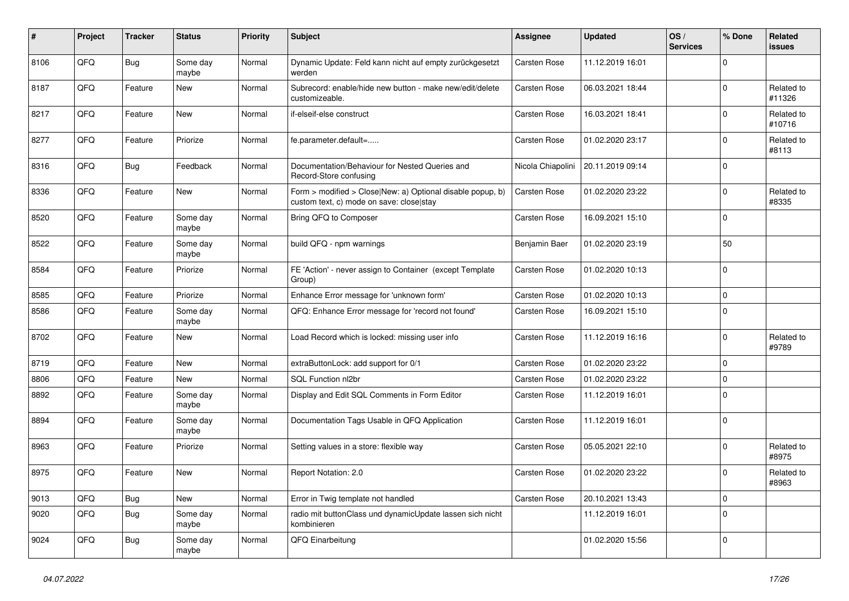| $\vert$ # | Project | <b>Tracker</b> | <b>Status</b>     | <b>Priority</b> | <b>Subject</b>                                                                                         | <b>Assignee</b>     | <b>Updated</b>   | OS/<br><b>Services</b> | % Done      | Related<br><b>issues</b> |
|-----------|---------|----------------|-------------------|-----------------|--------------------------------------------------------------------------------------------------------|---------------------|------------------|------------------------|-------------|--------------------------|
| 8106      | QFQ     | <b>Bug</b>     | Some day<br>maybe | Normal          | Dynamic Update: Feld kann nicht auf empty zurückgesetzt<br>werden                                      | Carsten Rose        | 11.12.2019 16:01 |                        | $\Omega$    |                          |
| 8187      | QFQ     | Feature        | New               | Normal          | Subrecord: enable/hide new button - make new/edit/delete<br>customizeable.                             | <b>Carsten Rose</b> | 06.03.2021 18:44 |                        | $\mathbf 0$ | Related to<br>#11326     |
| 8217      | QFQ     | Feature        | New               | Normal          | if-elseif-else construct                                                                               | Carsten Rose        | 16.03.2021 18:41 |                        | $\Omega$    | Related to<br>#10716     |
| 8277      | QFQ     | Feature        | Priorize          | Normal          | fe.parameter.default=                                                                                  | Carsten Rose        | 01.02.2020 23:17 |                        | $\Omega$    | Related to<br>#8113      |
| 8316      | QFQ     | <b>Bug</b>     | Feedback          | Normal          | Documentation/Behaviour for Nested Queries and<br>Record-Store confusing                               | Nicola Chiapolini   | 20.11.2019 09:14 |                        | $\mathbf 0$ |                          |
| 8336      | QFQ     | Feature        | New               | Normal          | Form > modified > Close New: a) Optional disable popup, b)<br>custom text, c) mode on save: close stay | Carsten Rose        | 01.02.2020 23:22 |                        | $\Omega$    | Related to<br>#8335      |
| 8520      | QFQ     | Feature        | Some day<br>maybe | Normal          | Bring QFQ to Composer                                                                                  | <b>Carsten Rose</b> | 16.09.2021 15:10 |                        | $\mathbf 0$ |                          |
| 8522      | QFQ     | Feature        | Some day<br>maybe | Normal          | build QFQ - npm warnings                                                                               | Benjamin Baer       | 01.02.2020 23:19 |                        | 50          |                          |
| 8584      | QFQ     | Feature        | Priorize          | Normal          | FE 'Action' - never assign to Container (except Template<br>Group)                                     | <b>Carsten Rose</b> | 01.02.2020 10:13 |                        | $\Omega$    |                          |
| 8585      | QFQ     | Feature        | Priorize          | Normal          | Enhance Error message for 'unknown form'                                                               | <b>Carsten Rose</b> | 01.02.2020 10:13 |                        | $\mathbf 0$ |                          |
| 8586      | QFQ     | Feature        | Some day<br>maybe | Normal          | QFQ: Enhance Error message for 'record not found'                                                      | <b>Carsten Rose</b> | 16.09.2021 15:10 |                        | $\Omega$    |                          |
| 8702      | QFQ     | Feature        | New               | Normal          | Load Record which is locked: missing user info                                                         | <b>Carsten Rose</b> | 11.12.2019 16:16 |                        | $\mathbf 0$ | Related to<br>#9789      |
| 8719      | QFQ     | Feature        | New               | Normal          | extraButtonLock: add support for 0/1                                                                   | Carsten Rose        | 01.02.2020 23:22 |                        | $\mathbf 0$ |                          |
| 8806      | QFQ     | Feature        | New               | Normal          | SQL Function nl2br                                                                                     | Carsten Rose        | 01.02.2020 23:22 |                        | $\Omega$    |                          |
| 8892      | QFQ     | Feature        | Some day<br>maybe | Normal          | Display and Edit SQL Comments in Form Editor                                                           | Carsten Rose        | 11.12.2019 16:01 |                        | $\Omega$    |                          |
| 8894      | QFQ     | Feature        | Some day<br>maybe | Normal          | Documentation Tags Usable in QFQ Application                                                           | Carsten Rose        | 11.12.2019 16:01 |                        | $\mathbf 0$ |                          |
| 8963      | QFQ     | Feature        | Priorize          | Normal          | Setting values in a store: flexible way                                                                | <b>Carsten Rose</b> | 05.05.2021 22:10 |                        | $\mathbf 0$ | Related to<br>#8975      |
| 8975      | QFQ     | Feature        | <b>New</b>        | Normal          | Report Notation: 2.0                                                                                   | Carsten Rose        | 01.02.2020 23:22 |                        | $\mathbf 0$ | Related to<br>#8963      |
| 9013      | QFQ     | <b>Bug</b>     | New               | Normal          | Error in Twig template not handled                                                                     | Carsten Rose        | 20.10.2021 13:43 |                        | $\mathbf 0$ |                          |
| 9020      | QFQ     | <b>Bug</b>     | Some day<br>maybe | Normal          | radio mit buttonClass und dynamicUpdate lassen sich nicht<br>kombinieren                               |                     | 11.12.2019 16:01 |                        | $\mathbf 0$ |                          |
| 9024      | QFQ     | Bug            | Some day<br>maybe | Normal          | QFQ Einarbeitung                                                                                       |                     | 01.02.2020 15:56 |                        | $\mathbf 0$ |                          |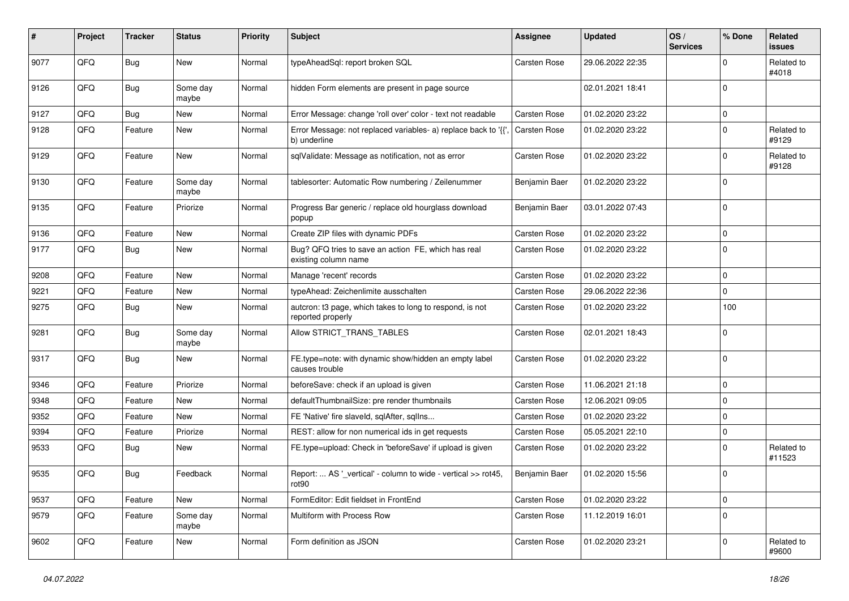| #    | Project | <b>Tracker</b> | <b>Status</b>     | <b>Priority</b> | Subject                                                                            | Assignee            | <b>Updated</b>   | OS/<br><b>Services</b> | % Done      | Related<br><b>issues</b> |
|------|---------|----------------|-------------------|-----------------|------------------------------------------------------------------------------------|---------------------|------------------|------------------------|-------------|--------------------------|
| 9077 | QFQ     | <b>Bug</b>     | <b>New</b>        | Normal          | typeAheadSql: report broken SQL                                                    | Carsten Rose        | 29.06.2022 22:35 |                        | $\Omega$    | Related to<br>#4018      |
| 9126 | QFQ     | <b>Bug</b>     | Some day<br>maybe | Normal          | hidden Form elements are present in page source                                    |                     | 02.01.2021 18:41 |                        | $\mathbf 0$ |                          |
| 9127 | QFQ     | <b>Bug</b>     | New               | Normal          | Error Message: change 'roll over' color - text not readable                        | <b>Carsten Rose</b> | 01.02.2020 23:22 |                        | 0           |                          |
| 9128 | QFQ     | Feature        | New               | Normal          | Error Message: not replaced variables- a) replace back to '{',<br>b) underline     | <b>Carsten Rose</b> | 01.02.2020 23:22 |                        | $\mathbf 0$ | Related to<br>#9129      |
| 9129 | QFQ     | Feature        | New               | Normal          | sqlValidate: Message as notification, not as error                                 | Carsten Rose        | 01.02.2020 23:22 |                        | $\Omega$    | Related to<br>#9128      |
| 9130 | QFQ     | Feature        | Some day<br>maybe | Normal          | tablesorter: Automatic Row numbering / Zeilenummer                                 | Benjamin Baer       | 01.02.2020 23:22 |                        | $\mathbf 0$ |                          |
| 9135 | QFQ     | Feature        | Priorize          | Normal          | Progress Bar generic / replace old hourglass download<br>popup                     | Benjamin Baer       | 03.01.2022 07:43 |                        | $\mathbf 0$ |                          |
| 9136 | QFQ     | Feature        | New               | Normal          | Create ZIP files with dynamic PDFs                                                 | Carsten Rose        | 01.02.2020 23:22 |                        | $\mathbf 0$ |                          |
| 9177 | QFQ     | <b>Bug</b>     | <b>New</b>        | Normal          | Bug? QFQ tries to save an action FE, which has real<br>existing column name        | <b>Carsten Rose</b> | 01.02.2020 23:22 |                        | $\Omega$    |                          |
| 9208 | QFQ     | Feature        | New               | Normal          | Manage 'recent' records                                                            | Carsten Rose        | 01.02.2020 23:22 |                        | $\mathbf 0$ |                          |
| 9221 | QFQ     | Feature        | New               | Normal          | typeAhead: Zeichenlimite ausschalten                                               | Carsten Rose        | 29.06.2022 22:36 |                        | $\mathbf 0$ |                          |
| 9275 | QFQ     | <b>Bug</b>     | New               | Normal          | autcron: t3 page, which takes to long to respond, is not<br>reported properly      | Carsten Rose        | 01.02.2020 23:22 |                        | 100         |                          |
| 9281 | QFQ     | <b>Bug</b>     | Some day<br>maybe | Normal          | Allow STRICT_TRANS_TABLES                                                          | Carsten Rose        | 02.01.2021 18:43 |                        | $\mathbf 0$ |                          |
| 9317 | QFQ     | <b>Bug</b>     | <b>New</b>        | Normal          | FE.type=note: with dynamic show/hidden an empty label<br>causes trouble            | Carsten Rose        | 01.02.2020 23:22 |                        | $\mathbf 0$ |                          |
| 9346 | QFQ     | Feature        | Priorize          | Normal          | beforeSave: check if an upload is given                                            | Carsten Rose        | 11.06.2021 21:18 |                        | $\mathbf 0$ |                          |
| 9348 | QFQ     | Feature        | New               | Normal          | defaultThumbnailSize: pre render thumbnails                                        | Carsten Rose        | 12.06.2021 09:05 |                        | $\mathbf 0$ |                          |
| 9352 | QFQ     | Feature        | New               | Normal          | FE 'Native' fire slaveld, sqlAfter, sqlIns                                         | Carsten Rose        | 01.02.2020 23:22 |                        | $\mathbf 0$ |                          |
| 9394 | QFQ     | Feature        | Priorize          | Normal          | REST: allow for non numerical ids in get requests                                  | Carsten Rose        | 05.05.2021 22:10 |                        | $\mathbf 0$ |                          |
| 9533 | QFQ     | <b>Bug</b>     | New               | Normal          | FE.type=upload: Check in 'beforeSave' if upload is given                           | Carsten Rose        | 01.02.2020 23:22 |                        | 0           | Related to<br>#11523     |
| 9535 | QFQ     | <b>Bug</b>     | Feedback          | Normal          | Report:  AS '_vertical' - column to wide - vertical >> rot45,<br>rot <sub>90</sub> | Benjamin Baer       | 01.02.2020 15:56 |                        | $\mathbf 0$ |                          |
| 9537 | QFQ     | Feature        | New               | Normal          | FormEditor: Edit fieldset in FrontEnd                                              | Carsten Rose        | 01.02.2020 23:22 |                        | $\mathbf 0$ |                          |
| 9579 | QFQ     | Feature        | Some day<br>maybe | Normal          | Multiform with Process Row                                                         | <b>Carsten Rose</b> | 11.12.2019 16:01 |                        | $\mathbf 0$ |                          |
| 9602 | QFQ     | Feature        | New               | Normal          | Form definition as JSON                                                            | Carsten Rose        | 01.02.2020 23:21 |                        | $\mathbf 0$ | Related to<br>#9600      |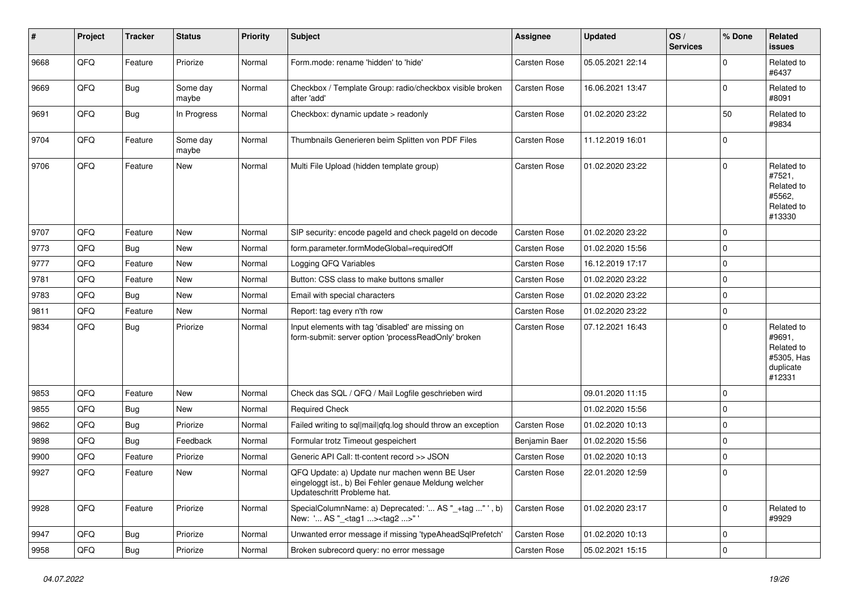| #    | Project | <b>Tracker</b> | <b>Status</b>     | <b>Priority</b> | <b>Subject</b>                                                                                                                        | Assignee            | <b>Updated</b>   | OS/<br><b>Services</b> | % Done      | Related<br>issues                                                       |
|------|---------|----------------|-------------------|-----------------|---------------------------------------------------------------------------------------------------------------------------------------|---------------------|------------------|------------------------|-------------|-------------------------------------------------------------------------|
| 9668 | QFQ     | Feature        | Priorize          | Normal          | Form.mode: rename 'hidden' to 'hide'                                                                                                  | Carsten Rose        | 05.05.2021 22:14 |                        | $\Omega$    | Related to<br>#6437                                                     |
| 9669 | QFQ     | <b>Bug</b>     | Some day<br>maybe | Normal          | Checkbox / Template Group: radio/checkbox visible broken<br>after 'add'                                                               | Carsten Rose        | 16.06.2021 13:47 |                        | $\Omega$    | Related to<br>#8091                                                     |
| 9691 | QFQ     | Bug            | In Progress       | Normal          | Checkbox: dynamic update > readonly                                                                                                   | Carsten Rose        | 01.02.2020 23:22 |                        | 50          | Related to<br>#9834                                                     |
| 9704 | QFQ     | Feature        | Some day<br>maybe | Normal          | Thumbnails Generieren beim Splitten von PDF Files                                                                                     | Carsten Rose        | 11.12.2019 16:01 |                        | 0           |                                                                         |
| 9706 | QFQ     | Feature        | New               | Normal          | Multi File Upload (hidden template group)                                                                                             | <b>Carsten Rose</b> | 01.02.2020 23:22 |                        | $\mathbf 0$ | Related to<br>#7521,<br>Related to<br>#5562,<br>Related to<br>#13330    |
| 9707 | QFQ     | Feature        | New               | Normal          | SIP security: encode pageId and check pageId on decode                                                                                | <b>Carsten Rose</b> | 01.02.2020 23:22 |                        | $\mathbf 0$ |                                                                         |
| 9773 | QFQ     | <b>Bug</b>     | New               | Normal          | form.parameter.formModeGlobal=requiredOff                                                                                             | <b>Carsten Rose</b> | 01.02.2020 15:56 |                        | $\Omega$    |                                                                         |
| 9777 | QFQ     | Feature        | New               | Normal          | Logging QFQ Variables                                                                                                                 | <b>Carsten Rose</b> | 16.12.2019 17:17 |                        | $\mathbf 0$ |                                                                         |
| 9781 | QFQ     | Feature        | New               | Normal          | Button: CSS class to make buttons smaller                                                                                             | <b>Carsten Rose</b> | 01.02.2020 23:22 |                        | 0           |                                                                         |
| 9783 | QFQ     | Bug            | <b>New</b>        | Normal          | Email with special characters                                                                                                         | <b>Carsten Rose</b> | 01.02.2020 23:22 |                        | $\mathbf 0$ |                                                                         |
| 9811 | QFQ     | Feature        | <b>New</b>        | Normal          | Report: tag every n'th row                                                                                                            | <b>Carsten Rose</b> | 01.02.2020 23:22 |                        | $\mathbf 0$ |                                                                         |
| 9834 | QFQ     | Bug            | Priorize          | Normal          | Input elements with tag 'disabled' are missing on<br>form-submit: server option 'processReadOnly' broken                              | <b>Carsten Rose</b> | 07.12.2021 16:43 |                        | $\Omega$    | Related to<br>#9691,<br>Related to<br>#5305, Has<br>duplicate<br>#12331 |
| 9853 | QFQ     | Feature        | <b>New</b>        | Normal          | Check das SQL / QFQ / Mail Logfile geschrieben wird                                                                                   |                     | 09.01.2020 11:15 |                        | 0           |                                                                         |
| 9855 | QFQ     | <b>Bug</b>     | New               | Normal          | <b>Required Check</b>                                                                                                                 |                     | 01.02.2020 15:56 |                        | $\mathbf 0$ |                                                                         |
| 9862 | QFQ     | <b>Bug</b>     | Priorize          | Normal          | Failed writing to sql mail qfq.log should throw an exception                                                                          | Carsten Rose        | 01.02.2020 10:13 |                        | 0           |                                                                         |
| 9898 | QFQ     | Bug            | Feedback          | Normal          | Formular trotz Timeout gespeichert                                                                                                    | Benjamin Baer       | 01.02.2020 15:56 |                        | 0           |                                                                         |
| 9900 | QFQ     | Feature        | Priorize          | Normal          | Generic API Call: tt-content record >> JSON                                                                                           | Carsten Rose        | 01.02.2020 10:13 |                        | 0           |                                                                         |
| 9927 | QFQ     | Feature        | New               | Normal          | QFQ Update: a) Update nur machen wenn BE User<br>eingeloggt ist., b) Bei Fehler genaue Meldung welcher<br>Updateschritt Probleme hat. | Carsten Rose        | 22.01.2020 12:59 |                        | $\mathbf 0$ |                                                                         |
| 9928 | QFQ     | Feature        | Priorize          | Normal          | SpecialColumnName: a) Deprecated: ' AS "_+tag " ', b)<br>New: ' AS "_ <tag1><tag2>"</tag2></tag1>                                     | Carsten Rose        | 01.02.2020 23:17 |                        | $\mathbf 0$ | Related to<br>#9929                                                     |
| 9947 | QFQ     | <b>Bug</b>     | Priorize          | Normal          | Unwanted error message if missing 'typeAheadSqlPrefetch'                                                                              | Carsten Rose        | 01.02.2020 10:13 |                        | 0           |                                                                         |
| 9958 | QFQ     | <b>Bug</b>     | Priorize          | Normal          | Broken subrecord query: no error message                                                                                              | Carsten Rose        | 05.02.2021 15:15 |                        | $\mathbf 0$ |                                                                         |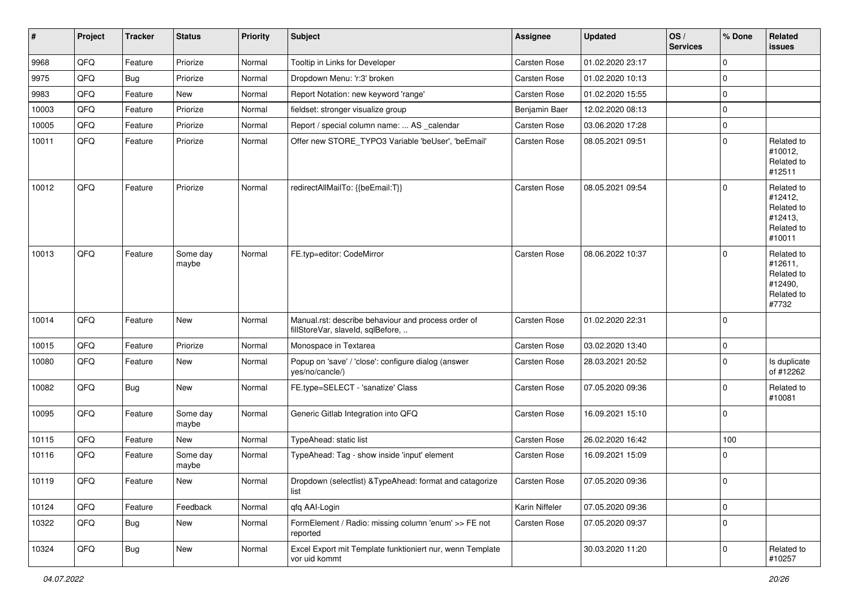| #     | Project | <b>Tracker</b> | <b>Status</b>     | <b>Priority</b> | <b>Subject</b>                                                                           | Assignee       | <b>Updated</b>   | OS/<br><b>Services</b> | % Done      | Related<br>issues                                                      |
|-------|---------|----------------|-------------------|-----------------|------------------------------------------------------------------------------------------|----------------|------------------|------------------------|-------------|------------------------------------------------------------------------|
| 9968  | QFQ     | Feature        | Priorize          | Normal          | Tooltip in Links for Developer                                                           | Carsten Rose   | 01.02.2020 23:17 |                        | $\Omega$    |                                                                        |
| 9975  | QFQ     | Bug            | Priorize          | Normal          | Dropdown Menu: 'r:3' broken                                                              | Carsten Rose   | 01.02.2020 10:13 |                        | $\Omega$    |                                                                        |
| 9983  | QFQ     | Feature        | New               | Normal          | Report Notation: new keyword 'range'                                                     | Carsten Rose   | 01.02.2020 15:55 |                        | $\Omega$    |                                                                        |
| 10003 | QFQ     | Feature        | Priorize          | Normal          | fieldset: stronger visualize group                                                       | Benjamin Baer  | 12.02.2020 08:13 |                        | $\Omega$    |                                                                        |
| 10005 | QFQ     | Feature        | Priorize          | Normal          | Report / special column name:  AS _calendar                                              | Carsten Rose   | 03.06.2020 17:28 |                        | $\mathbf 0$ |                                                                        |
| 10011 | QFQ     | Feature        | Priorize          | Normal          | Offer new STORE_TYPO3 Variable 'beUser', 'beEmail'                                       | Carsten Rose   | 08.05.2021 09:51 |                        | $\Omega$    | Related to<br>#10012,<br>Related to<br>#12511                          |
| 10012 | QFQ     | Feature        | Priorize          | Normal          | redirectAllMailTo: {{beEmail:T}}                                                         | Carsten Rose   | 08.05.2021 09:54 |                        | $\Omega$    | Related to<br>#12412,<br>Related to<br>#12413,<br>Related to<br>#10011 |
| 10013 | QFQ     | Feature        | Some day<br>maybe | Normal          | FE.typ=editor: CodeMirror                                                                | Carsten Rose   | 08.06.2022 10:37 |                        | $\Omega$    | Related to<br>#12611,<br>Related to<br>#12490,<br>Related to<br>#7732  |
| 10014 | QFQ     | Feature        | <b>New</b>        | Normal          | Manual.rst: describe behaviour and process order of<br>fillStoreVar, slaveId, sqlBefore, | Carsten Rose   | 01.02.2020 22:31 |                        | $\Omega$    |                                                                        |
| 10015 | QFQ     | Feature        | Priorize          | Normal          | Monospace in Textarea                                                                    | Carsten Rose   | 03.02.2020 13:40 |                        | $\mathbf 0$ |                                                                        |
| 10080 | QFQ     | Feature        | New               | Normal          | Popup on 'save' / 'close': configure dialog (answer<br>yes/no/cancle/)                   | Carsten Rose   | 28.03.2021 20:52 |                        | $\Omega$    | Is duplicate<br>of #12262                                              |
| 10082 | QFQ     | <b>Bug</b>     | <b>New</b>        | Normal          | FE.type=SELECT - 'sanatize' Class                                                        | Carsten Rose   | 07.05.2020 09:36 |                        | $\Omega$    | Related to<br>#10081                                                   |
| 10095 | QFQ     | Feature        | Some day<br>maybe | Normal          | Generic Gitlab Integration into QFQ                                                      | Carsten Rose   | 16.09.2021 15:10 |                        | $\Omega$    |                                                                        |
| 10115 | QFQ     | Feature        | New               | Normal          | TypeAhead: static list                                                                   | Carsten Rose   | 26.02.2020 16:42 |                        | 100         |                                                                        |
| 10116 | QFQ     | Feature        | Some day<br>maybe | Normal          | TypeAhead: Tag - show inside 'input' element                                             | Carsten Rose   | 16.09.2021 15:09 |                        | $\Omega$    |                                                                        |
| 10119 | QFG     | Feature        | New               | Normal          | Dropdown (selectlist) & TypeAhead: format and catagorize<br>list                         | Carsten Rose   | 07.05.2020 09:36 |                        | $\pmb{0}$   |                                                                        |
| 10124 | QFQ     | Feature        | Feedback          | Normal          | qfq AAI-Login                                                                            | Karin Niffeler | 07.05.2020 09:36 |                        | $\mathbf 0$ |                                                                        |
| 10322 | QFO     | <b>Bug</b>     | New               | Normal          | FormElement / Radio: missing column 'enum' >> FE not<br>reported                         | Carsten Rose   | 07.05.2020 09:37 |                        | $\Omega$    |                                                                        |
| 10324 | QFG     | <b>Bug</b>     | New               | Normal          | Excel Export mit Template funktioniert nur, wenn Template<br>vor uid kommt               |                | 30.03.2020 11:20 |                        | $\mathbf 0$ | Related to<br>#10257                                                   |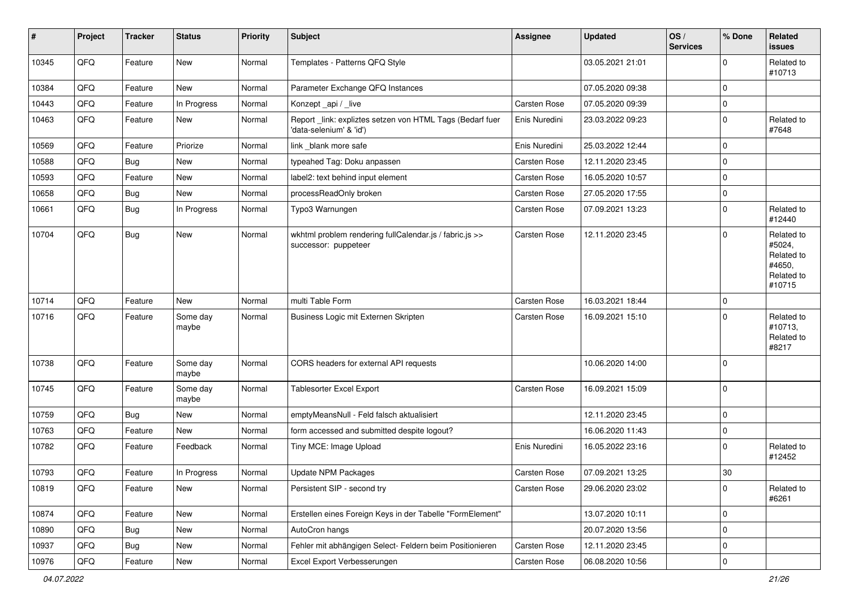| $\pmb{\#}$ | Project | <b>Tracker</b> | <b>Status</b>     | <b>Priority</b> | Subject                                                                              | <b>Assignee</b>     | <b>Updated</b>   | OS/<br><b>Services</b> | % Done      | Related<br><b>issues</b>                                             |
|------------|---------|----------------|-------------------|-----------------|--------------------------------------------------------------------------------------|---------------------|------------------|------------------------|-------------|----------------------------------------------------------------------|
| 10345      | QFQ     | Feature        | <b>New</b>        | Normal          | Templates - Patterns QFQ Style                                                       |                     | 03.05.2021 21:01 |                        | $\Omega$    | Related to<br>#10713                                                 |
| 10384      | QFQ     | Feature        | New               | Normal          | Parameter Exchange QFQ Instances                                                     |                     | 07.05.2020 09:38 |                        | $\mathbf 0$ |                                                                      |
| 10443      | QFQ     | Feature        | In Progress       | Normal          | Konzept_api / _live                                                                  | <b>Carsten Rose</b> | 07.05.2020 09:39 |                        | $\mathbf 0$ |                                                                      |
| 10463      | QFQ     | Feature        | New               | Normal          | Report _link: expliztes setzen von HTML Tags (Bedarf fuer<br>'data-selenium' & 'id') | Enis Nuredini       | 23.03.2022 09:23 |                        | $\mathbf 0$ | Related to<br>#7648                                                  |
| 10569      | QFQ     | Feature        | Priorize          | Normal          | link blank more safe                                                                 | Enis Nuredini       | 25.03.2022 12:44 |                        | $\mathbf 0$ |                                                                      |
| 10588      | QFQ     | Bug            | <b>New</b>        | Normal          | typeahed Tag: Doku anpassen                                                          | Carsten Rose        | 12.11.2020 23:45 |                        | $\mathbf 0$ |                                                                      |
| 10593      | QFQ     | Feature        | New               | Normal          | label2: text behind input element                                                    | <b>Carsten Rose</b> | 16.05.2020 10:57 |                        | $\mathbf 0$ |                                                                      |
| 10658      | QFQ     | <b>Bug</b>     | New               | Normal          | processReadOnly broken                                                               | <b>Carsten Rose</b> | 27.05.2020 17:55 |                        | $\mathbf 0$ |                                                                      |
| 10661      | QFQ     | Bug            | In Progress       | Normal          | Typo3 Warnungen                                                                      | Carsten Rose        | 07.09.2021 13:23 |                        | $\mathbf 0$ | Related to<br>#12440                                                 |
| 10704      | QFQ     | <b>Bug</b>     | <b>New</b>        | Normal          | wkhtml problem rendering fullCalendar.js / fabric.js >><br>successor: puppeteer      | <b>Carsten Rose</b> | 12.11.2020 23:45 |                        | $\Omega$    | Related to<br>#5024,<br>Related to<br>#4650,<br>Related to<br>#10715 |
| 10714      | QFQ     | Feature        | <b>New</b>        | Normal          | multi Table Form                                                                     | <b>Carsten Rose</b> | 16.03.2021 18:44 |                        | $\mathbf 0$ |                                                                      |
| 10716      | QFQ     | Feature        | Some day<br>maybe | Normal          | Business Logic mit Externen Skripten                                                 | <b>Carsten Rose</b> | 16.09.2021 15:10 |                        | $\Omega$    | Related to<br>#10713,<br>Related to<br>#8217                         |
| 10738      | QFQ     | Feature        | Some day<br>maybe | Normal          | CORS headers for external API requests                                               |                     | 10.06.2020 14:00 |                        | 0           |                                                                      |
| 10745      | QFQ     | Feature        | Some day<br>maybe | Normal          | <b>Tablesorter Excel Export</b>                                                      | <b>Carsten Rose</b> | 16.09.2021 15:09 |                        | 0           |                                                                      |
| 10759      | QFQ     | <b>Bug</b>     | <b>New</b>        | Normal          | emptyMeansNull - Feld falsch aktualisiert                                            |                     | 12.11.2020 23:45 |                        | $\mathbf 0$ |                                                                      |
| 10763      | QFQ     | Feature        | <b>New</b>        | Normal          | form accessed and submitted despite logout?                                          |                     | 16.06.2020 11:43 |                        | $\mathbf 0$ |                                                                      |
| 10782      | QFQ     | Feature        | Feedback          | Normal          | Tiny MCE: Image Upload                                                               | Enis Nuredini       | 16.05.2022 23:16 |                        | $\mathbf 0$ | Related to<br>#12452                                                 |
| 10793      | QFQ     | Feature        | In Progress       | Normal          | <b>Update NPM Packages</b>                                                           | <b>Carsten Rose</b> | 07.09.2021 13:25 |                        | 30          |                                                                      |
| 10819      | QFQ     | Feature        | New               | Normal          | Persistent SIP - second try                                                          | Carsten Rose        | 29.06.2020 23:02 |                        | 0           | Related to<br>#6261                                                  |
| 10874      | QFQ     | Feature        | New               | Normal          | Erstellen eines Foreign Keys in der Tabelle "FormElement"                            |                     | 13.07.2020 10:11 |                        | 0           |                                                                      |
| 10890      | QFQ     | <b>Bug</b>     | New               | Normal          | AutoCron hangs                                                                       |                     | 20.07.2020 13:56 |                        | $\mathbf 0$ |                                                                      |
| 10937      | QFQ     | <b>Bug</b>     | New               | Normal          | Fehler mit abhängigen Select- Feldern beim Positionieren                             | Carsten Rose        | 12.11.2020 23:45 |                        | 0           |                                                                      |
| 10976      | QFQ     | Feature        | New               | Normal          | Excel Export Verbesserungen                                                          | Carsten Rose        | 06.08.2020 10:56 |                        | $\pmb{0}$   |                                                                      |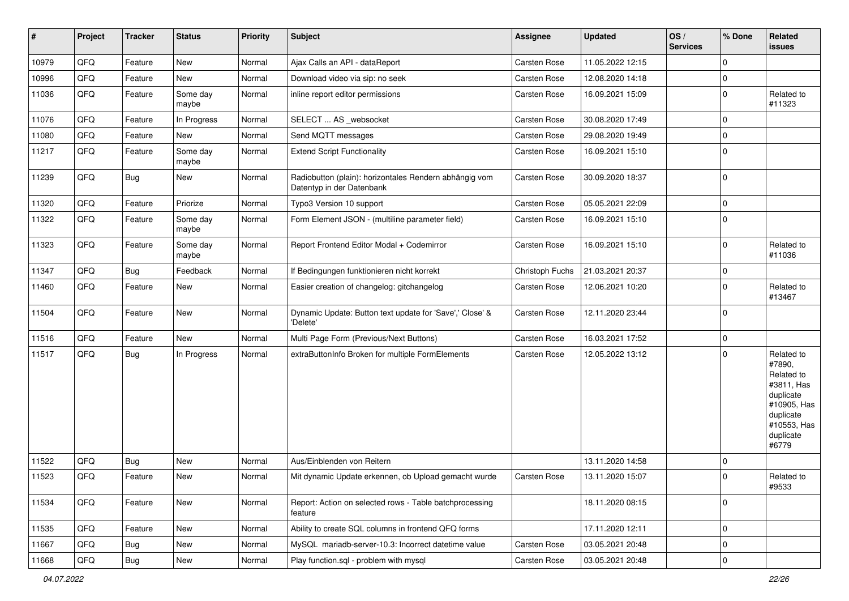| #     | Project | <b>Tracker</b> | <b>Status</b>     | <b>Priority</b> | <b>Subject</b>                                                                      | Assignee            | <b>Updated</b>   | OS/<br><b>Services</b> | % Done      | Related<br>issues                                                                                                              |
|-------|---------|----------------|-------------------|-----------------|-------------------------------------------------------------------------------------|---------------------|------------------|------------------------|-------------|--------------------------------------------------------------------------------------------------------------------------------|
| 10979 | QFQ     | Feature        | New               | Normal          | Ajax Calls an API - dataReport                                                      | Carsten Rose        | 11.05.2022 12:15 |                        | $\Omega$    |                                                                                                                                |
| 10996 | QFQ     | Feature        | New               | Normal          | Download video via sip: no seek                                                     | <b>Carsten Rose</b> | 12.08.2020 14:18 |                        | 0           |                                                                                                                                |
| 11036 | QFQ     | Feature        | Some day<br>maybe | Normal          | inline report editor permissions                                                    | Carsten Rose        | 16.09.2021 15:09 |                        | $\Omega$    | Related to<br>#11323                                                                                                           |
| 11076 | QFQ     | Feature        | In Progress       | Normal          | SELECT  AS _websocket                                                               | <b>Carsten Rose</b> | 30.08.2020 17:49 |                        | $\Omega$    |                                                                                                                                |
| 11080 | QFQ     | Feature        | New               | Normal          | Send MQTT messages                                                                  | Carsten Rose        | 29.08.2020 19:49 |                        | $\Omega$    |                                                                                                                                |
| 11217 | QFQ     | Feature        | Some day<br>maybe | Normal          | <b>Extend Script Functionality</b>                                                  | <b>Carsten Rose</b> | 16.09.2021 15:10 |                        | $\Omega$    |                                                                                                                                |
| 11239 | QFQ     | <b>Bug</b>     | New               | Normal          | Radiobutton (plain): horizontales Rendern abhängig vom<br>Datentyp in der Datenbank | <b>Carsten Rose</b> | 30.09.2020 18:37 |                        | $\mathbf 0$ |                                                                                                                                |
| 11320 | QFQ     | Feature        | Priorize          | Normal          | Typo3 Version 10 support                                                            | <b>Carsten Rose</b> | 05.05.2021 22:09 |                        | $\mathbf 0$ |                                                                                                                                |
| 11322 | QFQ     | Feature        | Some day<br>maybe | Normal          | Form Element JSON - (multiline parameter field)                                     | <b>Carsten Rose</b> | 16.09.2021 15:10 |                        | $\mathbf 0$ |                                                                                                                                |
| 11323 | QFQ     | Feature        | Some day<br>maybe | Normal          | Report Frontend Editor Modal + Codemirror                                           | <b>Carsten Rose</b> | 16.09.2021 15:10 |                        | 0           | Related to<br>#11036                                                                                                           |
| 11347 | QFQ     | Bug            | Feedback          | Normal          | If Bedingungen funktionieren nicht korrekt                                          | Christoph Fuchs     | 21.03.2021 20:37 |                        | 0           |                                                                                                                                |
| 11460 | QFQ     | Feature        | New               | Normal          | Easier creation of changelog: gitchangelog                                          | Carsten Rose        | 12.06.2021 10:20 |                        | $\Omega$    | Related to<br>#13467                                                                                                           |
| 11504 | QFQ     | Feature        | New               | Normal          | Dynamic Update: Button text update for 'Save',' Close' &<br>'Delete'                | <b>Carsten Rose</b> | 12.11.2020 23:44 |                        | $\Omega$    |                                                                                                                                |
| 11516 | QFQ     | Feature        | New               | Normal          | Multi Page Form (Previous/Next Buttons)                                             | <b>Carsten Rose</b> | 16.03.2021 17:52 |                        | $\mathbf 0$ |                                                                                                                                |
| 11517 | QFQ     | <b>Bug</b>     | In Progress       | Normal          | extraButtonInfo Broken for multiple FormElements                                    | <b>Carsten Rose</b> | 12.05.2022 13:12 |                        | $\Omega$    | Related to<br>#7890,<br>Related to<br>#3811, Has<br>duplicate<br>#10905, Has<br>duplicate<br>#10553, Has<br>duplicate<br>#6779 |
| 11522 | QFQ     | <b>Bug</b>     | New               | Normal          | Aus/Einblenden von Reitern                                                          |                     | 13.11.2020 14:58 |                        | 0           |                                                                                                                                |
| 11523 | QFQ     | Feature        | New               | Normal          | Mit dynamic Update erkennen, ob Upload gemacht wurde                                | <b>Carsten Rose</b> | 13.11.2020 15:07 |                        | $\Omega$    | Related to<br>#9533                                                                                                            |
| 11534 | QFQ     | Feature        | New               | Normal          | Report: Action on selected rows - Table batchprocessing<br>feature                  |                     | 18.11.2020 08:15 |                        | $\mathbf 0$ |                                                                                                                                |
| 11535 | QFQ     | Feature        | New               | Normal          | Ability to create SQL columns in frontend QFQ forms                                 |                     | 17.11.2020 12:11 |                        | $\mathbf 0$ |                                                                                                                                |
| 11667 | QFQ     | <b>Bug</b>     | New               | Normal          | MySQL mariadb-server-10.3: Incorrect datetime value                                 | Carsten Rose        | 03.05.2021 20:48 |                        | 0           |                                                                                                                                |
| 11668 | QFG     | Bug            | New               | Normal          | Play function.sql - problem with mysql                                              | Carsten Rose        | 03.05.2021 20:48 |                        | $\mathbf 0$ |                                                                                                                                |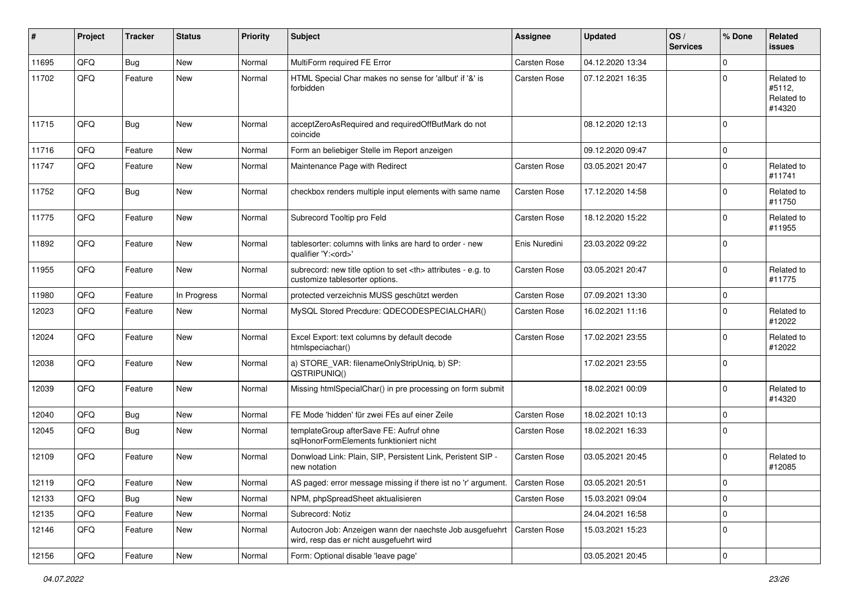| #     | Project | <b>Tracker</b> | <b>Status</b> | <b>Priority</b> | <b>Subject</b>                                                                                                      | Assignee                                               | <b>Updated</b>      | OS/<br><b>Services</b> | % Done      | <b>Related</b><br><b>issues</b>              |                      |
|-------|---------|----------------|---------------|-----------------|---------------------------------------------------------------------------------------------------------------------|--------------------------------------------------------|---------------------|------------------------|-------------|----------------------------------------------|----------------------|
| 11695 | QFQ     | <b>Bug</b>     | <b>New</b>    | Normal          | MultiForm required FE Error                                                                                         | Carsten Rose                                           | 04.12.2020 13:34    |                        | $\Omega$    |                                              |                      |
| 11702 | QFQ     | Feature        | <b>New</b>    | Normal          | HTML Special Char makes no sense for 'allbut' if '&' is<br>forbidden                                                | <b>Carsten Rose</b>                                    | 07.12.2021 16:35    |                        | $\Omega$    | Related to<br>#5112,<br>Related to<br>#14320 |                      |
| 11715 | QFQ     | Bug            | New           | Normal          | acceptZeroAsRequired and requiredOffButMark do not<br>coincide                                                      |                                                        | 08.12.2020 12:13    |                        | $\Omega$    |                                              |                      |
| 11716 | QFQ     | Feature        | <b>New</b>    | Normal          | Form an beliebiger Stelle im Report anzeigen                                                                        |                                                        | 09.12.2020 09:47    |                        | 0           |                                              |                      |
| 11747 | QFQ     | Feature        | <b>New</b>    | Normal          | Maintenance Page with Redirect                                                                                      | Carsten Rose                                           | 03.05.2021 20:47    |                        | $\mathbf 0$ | Related to<br>#11741                         |                      |
| 11752 | QFQ     | <b>Bug</b>     | <b>New</b>    | Normal          | checkbox renders multiple input elements with same name                                                             | <b>Carsten Rose</b>                                    | 17.12.2020 14:58    |                        | $\mathbf 0$ | Related to<br>#11750                         |                      |
| 11775 | QFQ     | Feature        | <b>New</b>    | Normal          | Subrecord Tooltip pro Feld                                                                                          | Carsten Rose                                           | 18.12.2020 15:22    |                        | $\mathbf 0$ | Related to<br>#11955                         |                      |
| 11892 | QFQ     | Feature        | <b>New</b>    | Normal          | tablesorter: columns with links are hard to order - new<br>qualifier 'Y: <ord>'</ord>                               | Enis Nuredini                                          | 23.03.2022 09:22    |                        | $\mathbf 0$ |                                              |                      |
| 11955 | QFQ     | Feature        | New           | Normal          | subrecord: new title option to set <th> attributes - e.g. to<br/>customize tablesorter options.</th>                | attributes - e.g. to<br>customize tablesorter options. | <b>Carsten Rose</b> | 03.05.2021 20:47       |             | $\mathbf 0$                                  | Related to<br>#11775 |
| 11980 | QFQ     | Feature        | In Progress   | Normal          | protected verzeichnis MUSS geschützt werden                                                                         | Carsten Rose                                           | 07.09.2021 13:30    |                        | $\mathbf 0$ |                                              |                      |
| 12023 | QFQ     | Feature        | <b>New</b>    | Normal          | MySQL Stored Precdure: QDECODESPECIALCHAR()                                                                         | <b>Carsten Rose</b>                                    | 16.02.2021 11:16    |                        | $\mathbf 0$ | Related to<br>#12022                         |                      |
| 12024 | QFQ     | Feature        | New           | Normal          | Excel Export: text columns by default decode<br>htmlspeciachar()                                                    | Carsten Rose                                           | 17.02.2021 23:55    |                        | $\mathbf 0$ | Related to<br>#12022                         |                      |
| 12038 | QFQ     | Feature        | <b>New</b>    | Normal          | a) STORE_VAR: filenameOnlyStripUniq, b) SP:<br>QSTRIPUNIQ()                                                         |                                                        | 17.02.2021 23:55    |                        | $\Omega$    |                                              |                      |
| 12039 | QFQ     | Feature        | <b>New</b>    | Normal          | Missing htmlSpecialChar() in pre processing on form submit                                                          |                                                        | 18.02.2021 00:09    |                        | 0           | Related to<br>#14320                         |                      |
| 12040 | QFQ     | Bug            | <b>New</b>    | Normal          | FE Mode 'hidden' für zwei FEs auf einer Zeile                                                                       | Carsten Rose                                           | 18.02.2021 10:13    |                        | $\mathbf 0$ |                                              |                      |
| 12045 | QFQ     | Bug            | <b>New</b>    | Normal          | templateGroup afterSave FE: Aufruf ohne<br>sqlHonorFormElements funktioniert nicht                                  | Carsten Rose                                           | 18.02.2021 16:33    |                        | $\Omega$    |                                              |                      |
| 12109 | QFQ     | Feature        | <b>New</b>    | Normal          | Donwload Link: Plain, SIP, Persistent Link, Peristent SIP -<br>new notation                                         | <b>Carsten Rose</b>                                    | 03.05.2021 20:45    |                        | $\mathbf 0$ | Related to<br>#12085                         |                      |
| 12119 | QFQ     | Feature        | New           | Normal          | AS paged: error message missing if there ist no 'r' argument. Carsten Rose                                          |                                                        | 03.05.2021 20:51    |                        | $\pmb{0}$   |                                              |                      |
| 12133 | QFQ     | <b>Bug</b>     | <b>New</b>    | Normal          | NPM, phpSpreadSheet aktualisieren                                                                                   | Carsten Rose                                           | 15.03.2021 09:04    |                        | $\mathbf 0$ |                                              |                      |
| 12135 | QFQ     | Feature        | New           | Normal          | Subrecord: Notiz                                                                                                    |                                                        | 24.04.2021 16:58    |                        | $\mathbf 0$ |                                              |                      |
| 12146 | QFQ     | Feature        | New           | Normal          | Autocron Job: Anzeigen wann der naechste Job ausgefuehrt   Carsten Rose<br>wird, resp das er nicht ausgefuehrt wird |                                                        | 15.03.2021 15:23    |                        | $\mathbf 0$ |                                              |                      |
| 12156 | QFQ     | Feature        | New           | Normal          | Form: Optional disable 'leave page'                                                                                 |                                                        | 03.05.2021 20:45    |                        | $\mathbf 0$ |                                              |                      |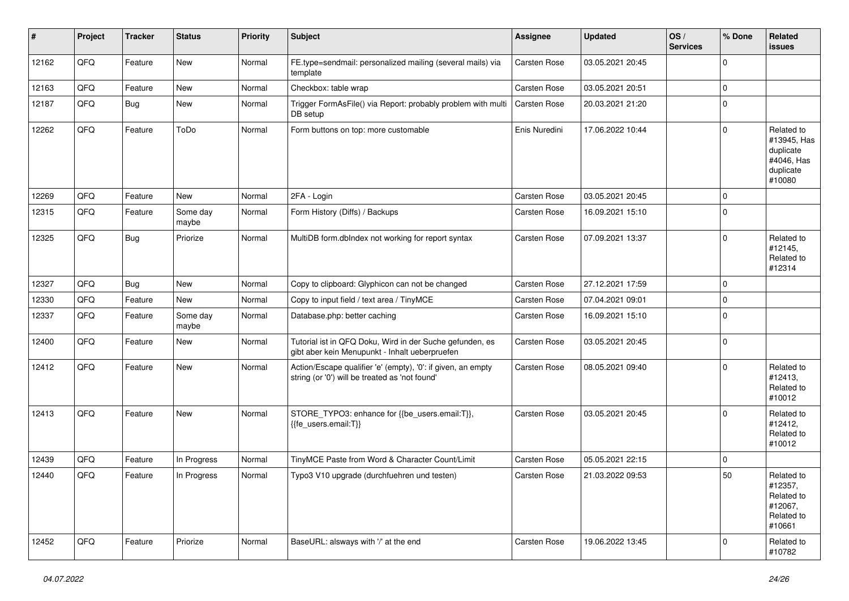| #     | Project | <b>Tracker</b> | <b>Status</b>     | <b>Priority</b> | <b>Subject</b>                                                                                                 | <b>Assignee</b>     | <b>Updated</b>   | OS/<br><b>Services</b> | % Done      | Related<br><b>issues</b>                                                    |
|-------|---------|----------------|-------------------|-----------------|----------------------------------------------------------------------------------------------------------------|---------------------|------------------|------------------------|-------------|-----------------------------------------------------------------------------|
| 12162 | QFQ     | Feature        | <b>New</b>        | Normal          | FE.type=sendmail: personalized mailing (several mails) via<br>template                                         | <b>Carsten Rose</b> | 03.05.2021 20:45 |                        | $\mathbf 0$ |                                                                             |
| 12163 | QFQ     | Feature        | New               | Normal          | Checkbox: table wrap                                                                                           | Carsten Rose        | 03.05.2021 20:51 |                        | $\mathbf 0$ |                                                                             |
| 12187 | QFQ     | <b>Bug</b>     | New               | Normal          | Trigger FormAsFile() via Report: probably problem with multi<br>DB setup                                       | <b>Carsten Rose</b> | 20.03.2021 21:20 |                        | $\mathbf 0$ |                                                                             |
| 12262 | QFQ     | Feature        | ToDo              | Normal          | Form buttons on top: more customable                                                                           | Enis Nuredini       | 17.06.2022 10:44 |                        | $\mathbf 0$ | Related to<br>#13945, Has<br>duplicate<br>#4046, Has<br>duplicate<br>#10080 |
| 12269 | QFQ     | Feature        | <b>New</b>        | Normal          | 2FA - Login                                                                                                    | <b>Carsten Rose</b> | 03.05.2021 20:45 |                        | $\mathbf 0$ |                                                                             |
| 12315 | QFQ     | Feature        | Some day<br>maybe | Normal          | Form History (Diffs) / Backups                                                                                 | <b>Carsten Rose</b> | 16.09.2021 15:10 |                        | $\mathbf 0$ |                                                                             |
| 12325 | QFQ     | <b>Bug</b>     | Priorize          | Normal          | MultiDB form.dblndex not working for report syntax                                                             | Carsten Rose        | 07.09.2021 13:37 |                        | $\Omega$    | Related to<br>#12145,<br>Related to<br>#12314                               |
| 12327 | QFQ     | <b>Bug</b>     | <b>New</b>        | Normal          | Copy to clipboard: Glyphicon can not be changed                                                                | <b>Carsten Rose</b> | 27.12.2021 17:59 |                        | $\mathbf 0$ |                                                                             |
| 12330 | QFQ     | Feature        | <b>New</b>        | Normal          | Copy to input field / text area / TinyMCE                                                                      | Carsten Rose        | 07.04.2021 09:01 |                        | 0           |                                                                             |
| 12337 | QFQ     | Feature        | Some day<br>maybe | Normal          | Database.php: better caching                                                                                   | Carsten Rose        | 16.09.2021 15:10 |                        | $\mathbf 0$ |                                                                             |
| 12400 | QFQ     | Feature        | <b>New</b>        | Normal          | Tutorial ist in QFQ Doku, Wird in der Suche gefunden, es<br>gibt aber kein Menupunkt - Inhalt ueberpruefen     | Carsten Rose        | 03.05.2021 20:45 |                        | $\mathbf 0$ |                                                                             |
| 12412 | QFQ     | Feature        | <b>New</b>        | Normal          | Action/Escape qualifier 'e' (empty), '0': if given, an empty<br>string (or '0') will be treated as 'not found' | <b>Carsten Rose</b> | 08.05.2021 09:40 |                        | $\Omega$    | Related to<br>#12413,<br>Related to<br>#10012                               |
| 12413 | QFQ     | Feature        | <b>New</b>        | Normal          | STORE_TYPO3: enhance for {{be_users.email:T}},<br>{{fe users.email:T}}                                         | <b>Carsten Rose</b> | 03.05.2021 20:45 |                        | $\Omega$    | Related to<br>#12412,<br>Related to<br>#10012                               |
| 12439 | QFQ     | Feature        | In Progress       | Normal          | TinyMCE Paste from Word & Character Count/Limit                                                                | Carsten Rose        | 05.05.2021 22:15 |                        | $\Omega$    |                                                                             |
| 12440 | QFQ     | Feature        | In Progress       | Normal          | Typo3 V10 upgrade (durchfuehren und testen)                                                                    | Carsten Rose        | 21.03.2022 09:53 |                        | 50          | Related to<br>#12357,<br>Related to<br>#12067,<br>Related to<br>#10661      |
| 12452 | QFQ     | Feature        | Priorize          | Normal          | BaseURL: alsways with '/' at the end                                                                           | <b>Carsten Rose</b> | 19.06.2022 13:45 |                        | $\Omega$    | Related to<br>#10782                                                        |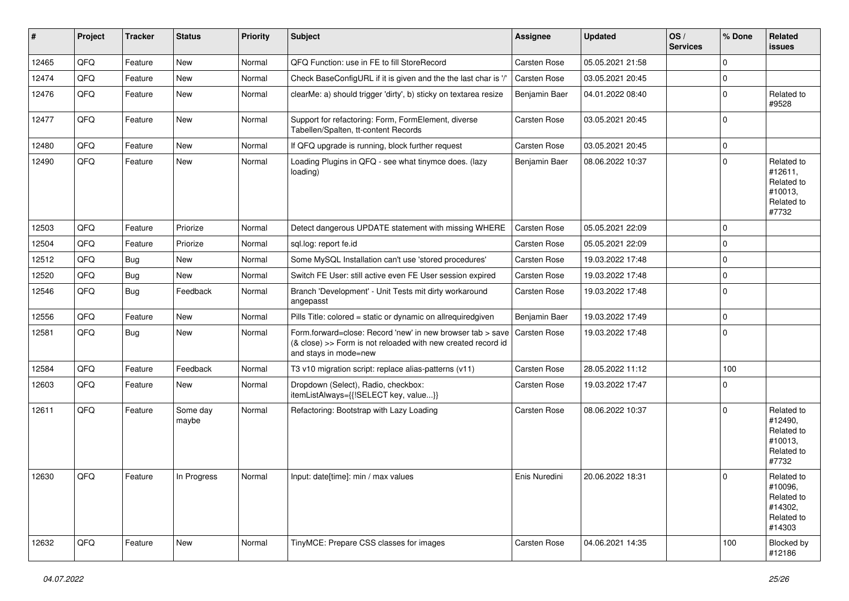| #     | Project        | <b>Tracker</b> | <b>Status</b>     | <b>Priority</b> | <b>Subject</b>                                                                                                                                      | Assignee            | <b>Updated</b>   | OS/<br><b>Services</b> | % Done      | Related<br><b>issues</b>                                               |
|-------|----------------|----------------|-------------------|-----------------|-----------------------------------------------------------------------------------------------------------------------------------------------------|---------------------|------------------|------------------------|-------------|------------------------------------------------------------------------|
| 12465 | QFQ            | Feature        | <b>New</b>        | Normal          | QFQ Function: use in FE to fill StoreRecord                                                                                                         | Carsten Rose        | 05.05.2021 21:58 |                        | $\Omega$    |                                                                        |
| 12474 | QFQ            | Feature        | New               | Normal          | Check BaseConfigURL if it is given and the the last char is '/'                                                                                     | Carsten Rose        | 03.05.2021 20:45 |                        | 0           |                                                                        |
| 12476 | QFQ            | Feature        | New               | Normal          | clearMe: a) should trigger 'dirty', b) sticky on textarea resize                                                                                    | Benjamin Baer       | 04.01.2022 08:40 |                        | $\Omega$    | Related to<br>#9528                                                    |
| 12477 | QFQ            | Feature        | New               | Normal          | Support for refactoring: Form, FormElement, diverse<br>Tabellen/Spalten, tt-content Records                                                         | Carsten Rose        | 03.05.2021 20:45 |                        | $\Omega$    |                                                                        |
| 12480 | QFQ            | Feature        | New               | Normal          | If QFQ upgrade is running, block further request                                                                                                    | Carsten Rose        | 03.05.2021 20:45 |                        | $\Omega$    |                                                                        |
| 12490 | QFQ            | Feature        | New               | Normal          | Loading Plugins in QFQ - see what tinymce does. (lazy<br>loading)                                                                                   | Benjamin Baer       | 08.06.2022 10:37 |                        | $\Omega$    | Related to<br>#12611,<br>Related to<br>#10013,<br>Related to<br>#7732  |
| 12503 | QFQ            | Feature        | Priorize          | Normal          | Detect dangerous UPDATE statement with missing WHERE                                                                                                | Carsten Rose        | 05.05.2021 22:09 |                        | $\Omega$    |                                                                        |
| 12504 | QFQ            | Feature        | Priorize          | Normal          | sql.log: report fe.id                                                                                                                               | Carsten Rose        | 05.05.2021 22:09 |                        | $\Omega$    |                                                                        |
| 12512 | QFQ            | <b>Bug</b>     | New               | Normal          | Some MySQL Installation can't use 'stored procedures'                                                                                               | Carsten Rose        | 19.03.2022 17:48 |                        | $\Omega$    |                                                                        |
| 12520 | QFQ            | <b>Bug</b>     | New               | Normal          | Switch FE User: still active even FE User session expired                                                                                           | Carsten Rose        | 19.03.2022 17:48 |                        | $\Omega$    |                                                                        |
| 12546 | QFQ            | <b>Bug</b>     | Feedback          | Normal          | Branch 'Development' - Unit Tests mit dirty workaround<br>angepasst                                                                                 | Carsten Rose        | 19.03.2022 17:48 |                        | $\Omega$    |                                                                        |
| 12556 | QFQ            | Feature        | New               | Normal          | Pills Title: colored = static or dynamic on allrequiredgiven                                                                                        | Benjamin Baer       | 19.03.2022 17:49 |                        | $\mathbf 0$ |                                                                        |
| 12581 | QFQ            | Bug            | New               | Normal          | Form.forward=close: Record 'new' in new browser tab > save<br>(& close) >> Form is not reloaded with new created record id<br>and stays in mode=new | <b>Carsten Rose</b> | 19.03.2022 17:48 |                        | $\Omega$    |                                                                        |
| 12584 | QFQ            | Feature        | Feedback          | Normal          | T3 v10 migration script: replace alias-patterns (v11)                                                                                               | Carsten Rose        | 28.05.2022 11:12 |                        | 100         |                                                                        |
| 12603 | QFQ            | Feature        | New               | Normal          | Dropdown (Select), Radio, checkbox:<br>itemListAlways={{!SELECT key, value}}                                                                        | Carsten Rose        | 19.03.2022 17:47 |                        | $\Omega$    |                                                                        |
| 12611 | QFQ            | Feature        | Some day<br>maybe | Normal          | Refactoring: Bootstrap with Lazy Loading                                                                                                            | Carsten Rose        | 08.06.2022 10:37 |                        | $\Omega$    | Related to<br>#12490,<br>Related to<br>#10013,<br>Related to<br>#7732  |
| 12630 | $\mathsf{QFQ}$ | Feature        | In Progress       | Normal          | Input: date[time]: min / max values                                                                                                                 | Enis Nuredini       | 20.06.2022 18:31 |                        | $\Omega$    | Related to<br>#10096,<br>Related to<br>#14302,<br>Related to<br>#14303 |
| 12632 | QFQ            | Feature        | New               | Normal          | TinyMCE: Prepare CSS classes for images                                                                                                             | Carsten Rose        | 04.06.2021 14:35 |                        | 100         | Blocked by<br>#12186                                                   |